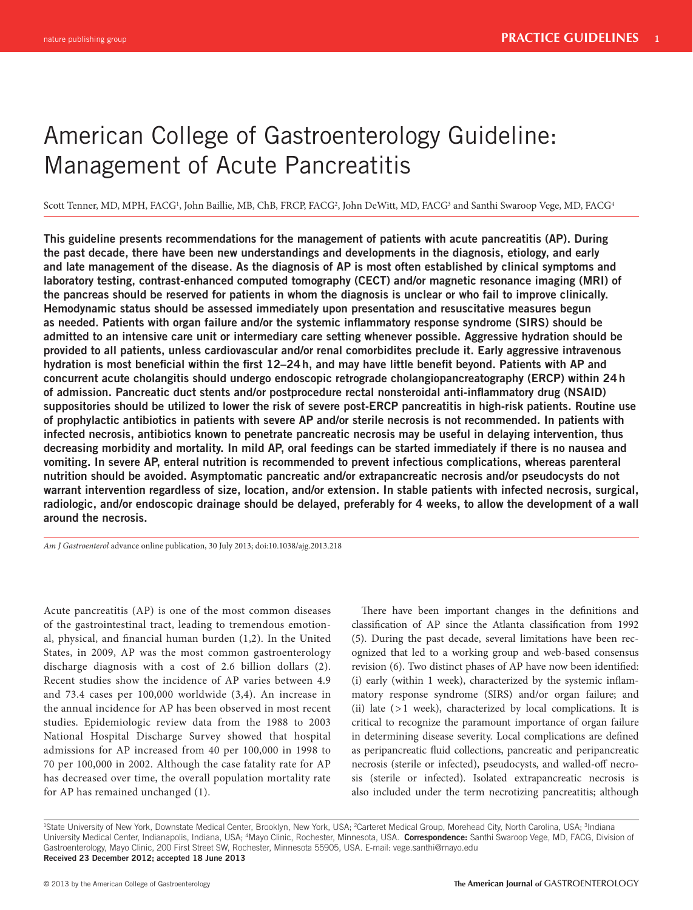# American College of Gastroenterology Guideline: Management of Acute Pancreatitis

Scott Tenner, MD, MPH, FACG', John Baillie, MB, ChB, FRCP, FACG<sup>2</sup>, John DeWitt, MD, FACG<sup>3</sup> and Santhi Swaroop Vege, MD, FACG<sup>4</sup>

**This guideline presents recommendations for the management of patients with acute pancreatitis (AP). During the past decade, there have been new understandings and developments in the diagnosis, etiology, and early and late management of the disease. As the diagnosis of AP is most often established by clinical symptoms and**  laboratory testing, contrast-enhanced computed tomography (CECT) and/or magnetic resonance imaging (MRI) of **the pancreas should be reserved for patients in whom the diagnosis is unclear or who fail to improve clinically. Hemodynamic status should be assessed immediately upon presentation and resuscitative measures begun**  as needed. Patients with organ failure and/or the systemic inflammatory response syndrome (SIRS) should be **admitted to an intensive care unit or intermediary care setting whenever possible. Aggressive hydration should be provided to all patients, unless cardiovascular and / or renal comorbidites preclude it. Early aggressive intravenous**  hydration is most beneficial within the first 12–24 h, and may have little benefit beyond. Patients with AP and **concurrent acute cholangitis should undergo endoscopic retrograde cholangiopancreatography (ERCP) within 24 h**  of admission. Pancreatic duct stents and/or postprocedure rectal nonsteroidal anti-inflammatory drug (NSAID) **suppositories should be utilized to lower the risk of severe post-ERCP pancreatitis in high-risk patients. Routine use**  of prophylactic antibiotics in patients with severe AP and/or sterile necrosis is not recommended. In patients with **infected necrosis, antibiotics known to penetrate pancreatic necrosis may be useful in delaying intervention, thus decreasing morbidity and mortality. In mild AP, oral feedings can be started immediately if there is no nausea and vomiting. In severe AP, enteral nutrition is recommended to prevent infectious complications, whereas parenteral**  nutrition should be avoided. Asymptomatic pancreatic and/or extrapancreatic necrosis and/or pseudocysts do not warrant intervention regardless of size, location, and/or extension. In stable patients with infected necrosis, surgical, radiologic, and/or endoscopic drainage should be delayed, preferably for 4 weeks, to allow the development of a wall **around the necrosis.** 

*Am J Gastroenterol* advance online publication, 30 July 2013; doi: 10.1038/ajg.2013.218

 Acute pancreatitis (AP) is one of the most common diseases of the gastrointestinal tract, leading to tremendous emotional, physical, and financial human burden  $(1,2)$ . In the United States, in 2009, AP was the most common gastroenterology discharge diagnosis with a cost of 2.6 billion dollars (2). Recent studies show the incidence of AP varies between 4.9 and 73.4 cases per  $100,000$  worldwide  $(3,4)$ . An increase in the annual incidence for AP has been observed in most recent studies. Epidemiologic review data from the 1988 to 2003 National Hospital Discharge Survey showed that hospital admissions for AP increased from 40 per 100,000 in 1998 to 70 per 100,000 in 2002. Although the case fatality rate for AP has decreased over time, the overall population mortality rate for AP has remained unchanged (1).

There have been important changes in the definitions and classification of AP since the Atlanta classification from 1992 (5). During the past decade, several limitations have been recognized that led to a working group and web-based consensus revision (6). Two distinct phases of AP have now been identified:  $(i)$  early (within 1 week), characterized by the systemic inflammatory response syndrome (SIRS) and/or organ failure; and (ii) late  $(>1$  week), characterized by local complications. It is critical to recognize the paramount importance of organ failure in determining disease severity. Local complications are defined as peripancreatic fluid collections, pancreatic and peripancreatic necrosis (sterile or infected), pseudocysts, and walled-off necrosis (sterile or infected). Isolated extrapancreatic necrosis is also included under the term necrotizing pancreatitis; although

<sup>1</sup>State University of New York, Downstate Medical Center, Brooklyn, New York, USA; <sup>2</sup>Carteret Medical Group, Morehead City, North Carolina, USA; <sup>3</sup>Indiana University Medical Center, Indianapolis, Indiana, USA; <sup>4</sup>Mayo Clinic, Rochester, Minnesota, USA. Correspondence: Santhi Swaroop Vege, MD, FACG, Division of Gastroenterology, Mayo Clinic, 200 First Street SW, Rochester, Minnesota 55905, USA. E-mail: vege.santhi@mayo.edu **Received 23 December 2012; accepted 18 June 2013**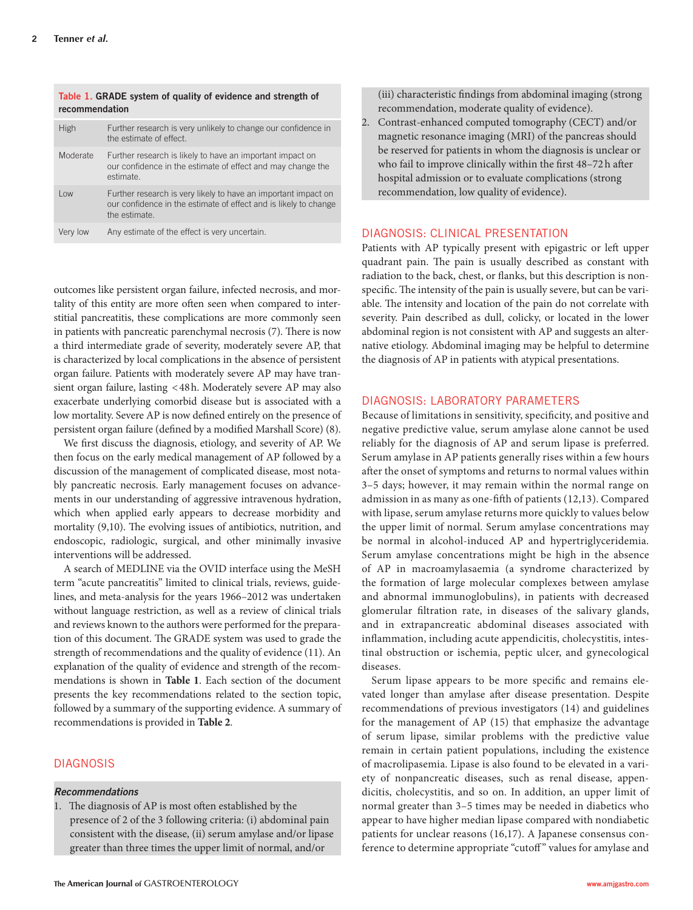| recommendation |                                                                                                                                                     |  |
|----------------|-----------------------------------------------------------------------------------------------------------------------------------------------------|--|
| High           | Further research is very unlikely to change our confidence in<br>the estimate of effect.                                                            |  |
| Moderate       | Further research is likely to have an important impact on<br>our confidence in the estimate of effect and may change the<br>estimate.               |  |
| Low            | Further research is very likely to have an important impact on<br>our confidence in the estimate of effect and is likely to change<br>the estimate. |  |
| Very low       | Any estimate of the effect is very uncertain.                                                                                                       |  |

# Table 1. GRADE system of quality of evidence and strength of

outcomes like persistent organ failure, infected necrosis, and mortality of this entity are more often seen when compared to interstitial pancreatitis, these complications are more commonly seen in patients with pancreatic parenchymal necrosis (7). There is now a third intermediate grade of severity, moderately severe AP, that is characterized by local complications in the absence of persistent organ failure. Patients with moderately severe AP may have transient organ failure, lasting < 48 h. Moderately severe AP may also exacerbate underlying comorbid disease but is associated with a low mortality. Severe AP is now defined entirely on the presence of persistent organ failure (defined by a modified Marshall Score) (8).

We first discuss the diagnosis, etiology, and severity of AP. We then focus on the early medical management of AP followed by a discussion of the management of complicated disease, most notably pancreatic necrosis. Early management focuses on advancements in our understanding of aggressive intravenous hydration, which when applied early appears to decrease morbidity and mortality  $(9,10)$ . The evolving issues of antibiotics, nutrition, and endoscopic, radiologic, surgical, and other minimally invasive interventions will be addressed.

 A search of MEDLINE via the OVID interface using the MeSH term "acute pancreatitis" limited to clinical trials, reviews, guidelines, and meta-analysis for the years 1966 – 2012 was undertaken without language restriction, as well as a review of clinical trials and reviews known to the authors were performed for the preparation of this document. The GRADE system was used to grade the strength of recommendations and the quality of evidence (11). An explanation of the quality of evidence and strength of the recommendations is shown in **Table 1** . Each section of the document presents the key recommendations related to the section topic, followed by a summary of the supporting evidence. A summary of recommendations is provided in **Table 2** .

# **DIAGNOSIS**

#### *Recommendations*

1. The diagnosis of AP is most often established by the presence of 2 of the 3 following criteria: (i) abdominal pain consistent with the disease, (ii) serum amylase and/or lipase greater than three times the upper limit of normal, and/or

(iii) characteristic findings from abdominal imaging (strong recommendation, moderate quality of evidence).

2. Contrast-enhanced computed tomography (CECT) and/or magnetic resonance imaging (MRI) of the pancreas should be reserved for patients in whom the diagnosis is unclear or who fail to improve clinically within the first 48-72h after hospital admission or to evaluate complications (strong recommendation, low quality of evidence).

# DIAGNOSIS: CLINICAL PRESENTATION

 Patients with AP typically present with epigastric or left upper quadrant pain. The pain is usually described as constant with radiation to the back, chest, or flanks, but this description is nonspecific. The intensity of the pain is usually severe, but can be variable. The intensity and location of the pain do not correlate with severity. Pain described as dull, colicky, or located in the lower abdominal region is not consistent with AP and suggests an alternative etiology. Abdominal imaging may be helpful to determine the diagnosis of AP in patients with atypical presentations.

# DIAGNOSIS: LABORATORY PARAMETERS

Because of limitations in sensitivity, specificity, and positive and negative predictive value, serum amylase alone cannot be used reliably for the diagnosis of AP and serum lipase is preferred. Serum amylase in AP patients generally rises within a few hours after the onset of symptoms and returns to normal values within 3-5 days; however, it may remain within the normal range on admission in as many as one-fifth of patients (12,13). Compared with lipase, serum amylase returns more quickly to values below the upper limit of normal. Serum amylase concentrations may be normal in alcohol-induced AP and hypertriglyceridemia. Serum amylase concentrations might be high in the absence of AP in macroamylasaemia (a syndrome characterized by the formation of large molecular complexes between amylase and abnormal immunoglobulins), in patients with decreased glomerular filtration rate, in diseases of the salivary glands, and in extrapancreatic abdominal diseases associated with inflammation, including acute appendicitis, cholecystitis, intestinal obstruction or ischemia, peptic ulcer, and gynecological diseases.

Serum lipase appears to be more specific and remains elevated longer than amylase after disease presentation. Despite recommendations of previous investigators ( 14 ) and guidelines for the management of AP (15) that emphasize the advantage of serum lipase, similar problems with the predictive value remain in certain patient populations, including the existence of macrolipasemia. Lipase is also found to be elevated in a variety of nonpancreatic diseases, such as renal disease, appendicitis, cholecystitis, and so on. In addition, an upper limit of normal greater than 3–5 times may be needed in diabetics who appear to have higher median lipase compared with nondiabetic patients for unclear reasons (16,17). A Japanese consensus conference to determine appropriate "cutoff" values for amylase and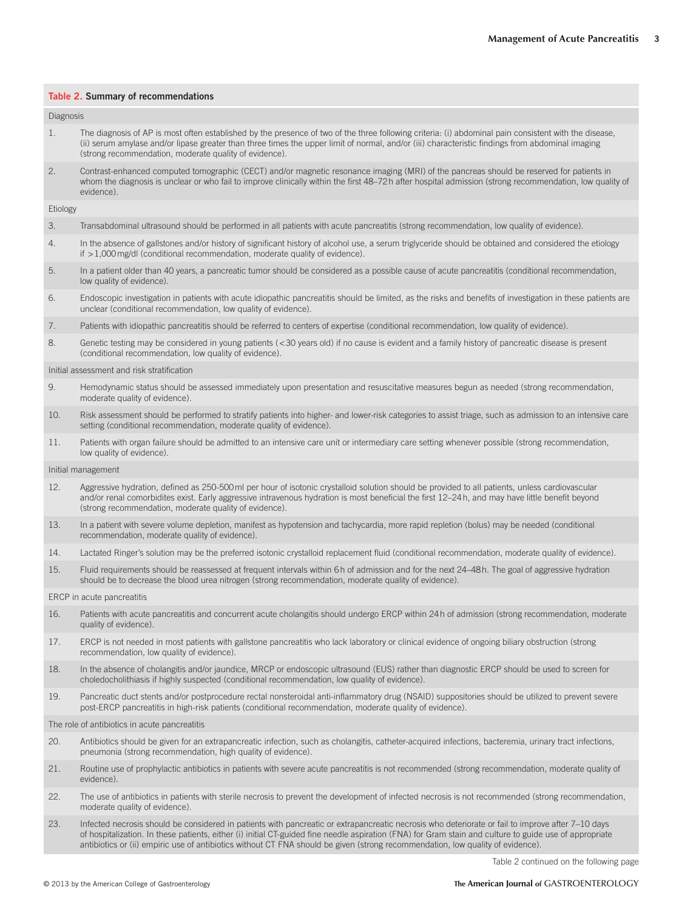#### **Table 2. Summary of recommendations**

Diagnosis

- 1. The diagnosis of AP is most often established by the presence of two of the three following criteria: (i) abdominal pain consistent with the disease, (ii) serum amylase and/or lipase greater than three times the upper limit of normal, and/or (iii) characteristic findings from abdominal imaging (strong recommendation, moderate quality of evidence).
- 2. Contrast-enhanced computed tomographic (CECT) and/or magnetic resonance imaging (MRI) of the pancreas should be reserved for patients in whom the diagnosis is unclear or who fail to improve clinically within the first 48–72 h after hospital admission (strong recommendation, low quality of evidence).

Etiology

- 3. Transabdominal ultrasound should be performed in all patients with acute pancreatitis (strong recommendation, low quality of evidence).
- 4. In the absence of gallstones and/or history of significant history of alcohol use, a serum triglyceride should be obtained and considered the etiology if  $>$  1,000 mg/dl (conditional recommendation, moderate quality of evidence).
- 5. In a patient older than 40 years, a pancreatic tumor should be considered as a possible cause of acute pancreatitis (conditional recommendation, low quality of evidence).
- 6. Endoscopic investigation in patients with acute idiopathic pancreatitis should be limited, as the risks and benefits of investigation in these patients are unclear (conditional recommendation, low quality of evidence).
- 7. Patients with idiopathic pancreatitis should be referred to centers of expertise (conditional recommendation, low quality of evidence).
- 8. Genetic testing may be considered in young patients ( < 30 years old) if no cause is evident and a family history of pancreatic disease is present (conditional recommendation, low quality of evidence).

#### Initial assessment and risk stratification

- 9. Hemodynamic status should be assessed immediately upon presentation and resuscitative measures begun as needed (strong recommendation, moderate quality of evidence).
- 10. Risk assessment should be performed to stratify patients into higher- and lower-risk categories to assist triage, such as admission to an intensive care setting (conditional recommendation, moderate quality of evidence).
- 11. Patients with organ failure should be admitted to an intensive care unit or intermediary care setting whenever possible (strong recommendation, low quality of evidence).

Initial management

- 12. Aggressive hydration, defined as 250-500 ml per hour of isotonic crystalloid solution should be provided to all patients, unless cardiovascular and/or renal comorbidites exist. Early aggressive intravenous hydration is most beneficial the first 12-24 h, and may have little benefit beyond (strong recommendation, moderate quality of evidence).
- 13. In a patient with severe volume depletion, manifest as hypotension and tachycardia, more rapid repletion (bolus) may be needed (conditional recommendation, moderate quality of evidence).
- 14. Lactated Ringer's solution may be the preferred isotonic crystalloid replacement fluid (conditional recommendation, moderate quality of evidence).
- 15. Fluid requirements should be reassessed at frequent intervals within 6h of admission and for the next 24-48 h. The goal of aggressive hydration should be to decrease the blood urea nitrogen (strong recommendation, moderate quality of evidence).

ERCP in acute pancreatitis

- 16. Patients with acute pancreatitis and concurrent acute cholangitis should undergo ERCP within 24 h of admission (strong recommendation, moderate quality of evidence).
- 17. ERCP is not needed in most patients with gallstone pancreatitis who lack laboratory or clinical evidence of ongoing biliary obstruction (strong recommendation, low quality of evidence).
- 18. In the absence of cholangitis and/or jaundice, MRCP or endoscopic ultrasound (EUS) rather than diagnostic ERCP should be used to screen for choledocholithiasis if highly suspected (conditional recommendation, low quality of evidence).
- 19. Pancreatic duct stents and/or postprocedure rectal nonsteroidal anti-inflammatory drug (NSAID) suppositories should be utilized to prevent severe post-ERCP pancreatitis in high-risk patients (conditional recommendation, moderate quality of evidence).

The role of antibiotics in acute pancreatitis

- 20. Antibiotics should be given for an extrapancreatic infection, such as cholangitis, catheter-acquired infections, bacteremia, urinary tract infections, pneumonia (strong recommendation, high quality of evidence).
- 21. Routine use of prophylactic antibiotics in patients with severe acute pancreatitis is not recommended (strong recommendation, moderate quality of evidence).
- 22. The use of antibiotics in patients with sterile necrosis to prevent the development of infected necrosis is not recommended (strong recommendation, moderate quality of evidence).
- 23. Infected necrosis should be considered in patients with pancreatic or extrapancreatic necrosis who deteriorate or fail to improve after 7 10 days of hospitalization. In these patients, either (i) initial CT-guided fine needle aspiration (FNA) for Gram stain and culture to guide use of appropriate antibiotics or (ii) empiric use of antibiotics without CT FNA should be given (strong recommendation, low quality of evidence).

Table 2 continued on the following page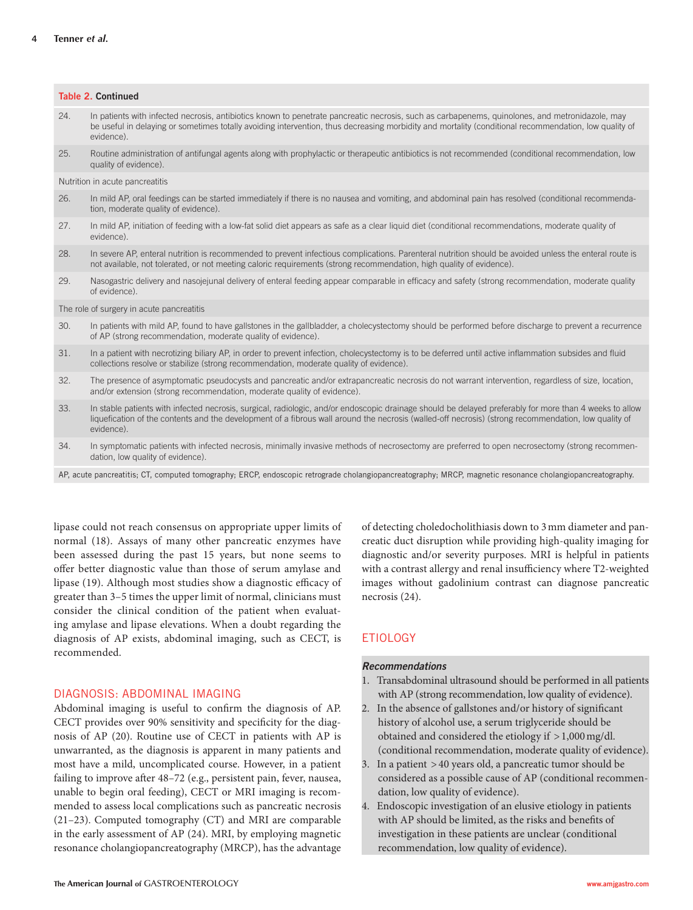| Table 2. Continued                        |                                                                                                                                                                                                                                                                                                                               |  |  |
|-------------------------------------------|-------------------------------------------------------------------------------------------------------------------------------------------------------------------------------------------------------------------------------------------------------------------------------------------------------------------------------|--|--|
| 24.                                       | In patients with infected necrosis, antibiotics known to penetrate pancreatic necrosis, such as carbapenems, quinolones, and metronidazole, may<br>be useful in delaying or sometimes totally avoiding intervention, thus decreasing morbidity and mortality (conditional recommendation, low quality of<br>evidence).        |  |  |
| 25.                                       | Routine administration of antifungal agents along with prophylactic or therapeutic antibiotics is not recommended (conditional recommendation, low<br>quality of evidence).                                                                                                                                                   |  |  |
| Nutrition in acute pancreatitis           |                                                                                                                                                                                                                                                                                                                               |  |  |
| 26.                                       | In mild AP, oral feedings can be started immediately if there is no nausea and vomiting, and abdominal pain has resolved (conditional recommenda-<br>tion, moderate quality of evidence).                                                                                                                                     |  |  |
| 27.                                       | In mild AP, initiation of feeding with a low-fat solid diet appears as safe as a clear liquid diet (conditional recommendations, moderate quality of<br>evidence).                                                                                                                                                            |  |  |
| 28.                                       | In severe AP, enteral nutrition is recommended to prevent infectious complications. Parenteral nutrition should be avoided unless the enteral route is<br>not available, not tolerated, or not meeting caloric requirements (strong recommendation, high quality of evidence).                                                |  |  |
| 29.                                       | Nasogastric delivery and nasojejunal delivery of enteral feeding appear comparable in efficacy and safety (strong recommendation, moderate quality<br>of evidence).                                                                                                                                                           |  |  |
| The role of surgery in acute pancreatitis |                                                                                                                                                                                                                                                                                                                               |  |  |
| 30.                                       | In patients with mild AP, found to have gallstones in the gallbladder, a cholecystectomy should be performed before discharge to prevent a recurrence<br>of AP (strong recommendation, moderate quality of evidence).                                                                                                         |  |  |
| 31.                                       | In a patient with necrotizing biliary AP, in order to prevent infection, cholecystectomy is to be deferred until active inflammation subsides and fluid<br>collections resolve or stabilize (strong recommendation, moderate quality of evidence).                                                                            |  |  |
| 32.                                       | The presence of asymptomatic pseudocysts and pancreatic and/or extrapancreatic necrosis do not warrant intervention, regardless of size, location,<br>and/or extension (strong recommendation, moderate quality of evidence).                                                                                                 |  |  |
| 33.                                       | In stable patients with infected necrosis, surgical, radiologic, and/or endoscopic drainage should be delayed preferably for more than 4 weeks to allow<br>liquefication of the contents and the development of a fibrous wall around the necrosis (walled-off necrosis) (strong recommendation, low quality of<br>evidence). |  |  |
| 34.                                       | In symptomatic patients with infected necrosis, minimally invasive methods of necrosectomy are preferred to open necrosectomy (strong recommen-<br>dation, low quality of evidence).                                                                                                                                          |  |  |
|                                           | AP, acute pancreatitis; CT, computed tomography; ERCP, endoscopic retrograde cholangiopancreatography; MRCP, magnetic resonance cholangiopancreatography.                                                                                                                                                                     |  |  |

lipase could not reach consensus on appropriate upper limits of normal (18). Assays of many other pancreatic enzymes have

been assessed during the past 15 years, but none seems to offer better diagnostic value than those of serum amylase and lipase (19). Although most studies show a diagnostic efficacy of greater than 3-5 times the upper limit of normal, clinicians must consider the clinical condition of the patient when evaluating amylase and lipase elevations. When a doubt regarding the diagnosis of AP exists, abdominal imaging, such as CECT, is recommended.

# DIAGNOSIS: ABDOMINAL IMAGING

Abdominal imaging is useful to confirm the diagnosis of AP. CECT provides over 90% sensitivity and specificity for the diagnosis of AP (20). Routine use of CECT in patients with AP is unwarranted, as the diagnosis is apparent in many patients and most have a mild, uncomplicated course. However, in a patient failing to improve after 48-72 (e.g., persistent pain, fever, nausea, unable to begin oral feeding), CECT or MRI imaging is recommended to assess local complications such as pancreatic necrosis (21-23). Computed tomography (CT) and MRI are comparable in the early assessment of AP (24). MRI, by employing magnetic resonance cholangiopancreatography (MRCP), has the advantage

of detecting choledocholithiasis down to 3 mm diameter and pancreatic duct disruption while providing high-quality imaging for diagnostic and/or severity purposes. MRI is helpful in patients with a contrast allergy and renal insufficiency where T2-weighted images without gadolinium contrast can diagnose pancreatic necrosis  $(24)$ .

# ETIOLOGY

# *Recommendations*

- 1. Transabdominal ultrasound should be performed in all patients with AP (strong recommendation, low quality of evidence).
- 2. In the absence of gallstones and/or history of significant history of alcohol use, a serum triglyceride should be obtained and considered the etiology if  $> 1,000 \,\text{mg/dl}$ . (conditional recommendation, moderate quality of evidence).
- 3. In a patient > 40 years old, a pancreatic tumor should be considered as a possible cause of AP (conditional recommendation, low quality of evidence).
- 4. Endoscopic investigation of an elusive etiology in patients with AP should be limited, as the risks and benefits of investigation in these patients are unclear (conditional recommendation, low quality of evidence).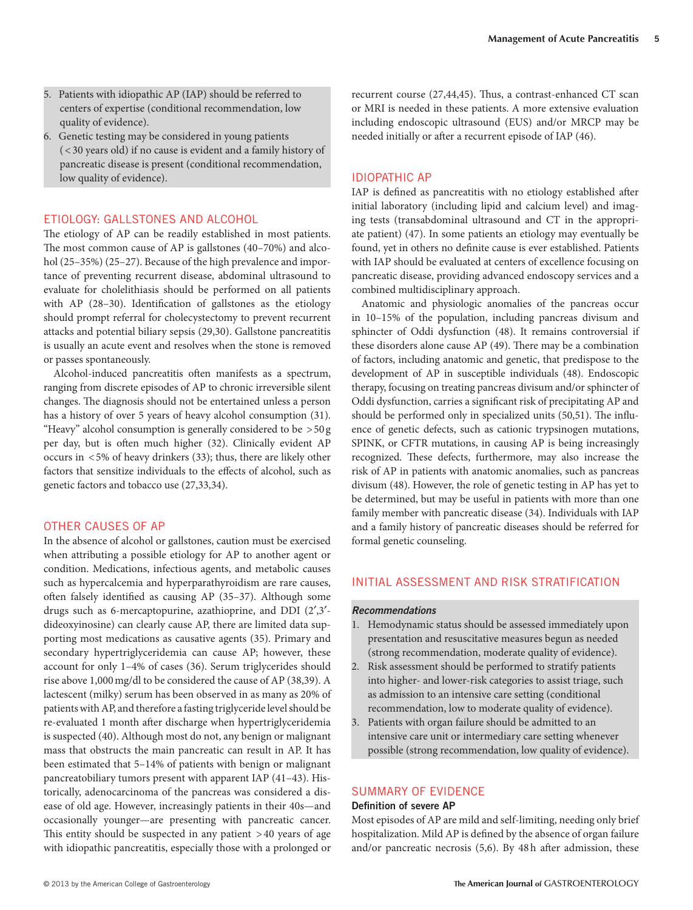- 5. Patients with idiopathic AP (IAP) should be referred to centers of expertise (conditional recommendation, low quality of evidence).
- 6. Genetic testing may be considered in young patients ( < 30 years old) if no cause is evident and a family history of pancreatic disease is present (conditional recommendation, low quality of evidence).

#### ETIOLOGY: GALLSTONES AND ALCOHOL

The etiology of AP can be readily established in most patients. The most common cause of AP is gallstones  $(40-70%)$  and alcohol (25-35%) (25-27). Because of the high prevalence and importance of preventing recurrent disease, abdominal ultrasound to evaluate for cholelithiasis should be performed on all patients with AP  $(28-30)$ . Identification of gallstones as the etiology should prompt referral for cholecystectomy to prevent recurrent attacks and potential biliary sepsis (29,30). Gallstone pancreatitis is usually an acute event and resolves when the stone is removed or passes spontaneously.

Alcohol-induced pancreatitis often manifests as a spectrum, ranging from discrete episodes of AP to chronic irreversible silent changes. The diagnosis should not be entertained unless a person has a history of over 5 years of heavy alcohol consumption (31). "Heavy" alcohol consumption is generally considered to be  $> 50 g$ per day, but is often much higher (32). Clinically evident AP occurs in  $\lt$  5% of heavy drinkers (33); thus, there are likely other factors that sensitize individuals to the effects of alcohol, such as genetic factors and tobacco use (27,33,34).

#### OTHER CAUSES OF AP

 In the absence of alcohol or gallstones, caution must be exercised when attributing a possible etiology for AP to another agent or condition. Medications, infectious agents, and metabolic causes such as hypercalcemia and hyperparathyroidism are rare causes, often falsely identified as causing AP (35-37). Although some drugs such as 6-mercaptopurine, azathioprine, and DDI (2',3'dideoxyinosine) can clearly cause AP, there are limited data supporting most medications as causative agents (35). Primary and secondary hypertriglyceridemia can cause AP; however, these account for only 1-4% of cases (36). Serum triglycerides should rise above 1,000 mg/dl to be considered the cause of AP (38,39). A lactescent (milky) serum has been observed in as many as 20% of patients with AP, and therefore a fasting triglyceride level should be re-evaluated 1 month after discharge when hypertriglyceridemia is suspected (40). Although most do not, any benign or malignant mass that obstructs the main pancreatic can result in AP. It has been estimated that 5-14% of patients with benign or malignant pancreatobiliary tumors present with apparent IAP (41-43). Historically, adenocarcinoma of the pancreas was considered a disease of old age. However, increasingly patients in their 40s—and occasionally younger-are presenting with pancreatic cancer. This entity should be suspected in any patient  $>40$  years of age with idiopathic pancreatitis, especially those with a prolonged or recurrent course (27,44,45). Thus, a contrast-enhanced CT scan or MRI is needed in these patients. A more extensive evaluation including endoscopic ultrasound (EUS) and/or MRCP may be needed initially or after a recurrent episode of IAP (46).

#### IDIOPATHIC AP

IAP is defined as pancreatitis with no etiology established after initial laboratory (including lipid and calcium level) and imaging tests (transabdominal ultrasound and CT in the appropriate patient) (47). In some patients an etiology may eventually be found, yet in others no definite cause is ever established. Patients with IAP should be evaluated at centers of excellence focusing on pancreatic disease, providing advanced endoscopy services and a combined multidisciplinary approach.

 Anatomic and physiologic anomalies of the pancreas occur in 10-15% of the population, including pancreas divisum and sphincter of Oddi dysfunction (48). It remains controversial if these disorders alone cause AP (49). There may be a combination of factors, including anatomic and genetic, that predispose to the development of AP in susceptible individuals (48). Endoscopic therapy, focusing on treating pancreas divisum and/or sphincter of Oddi dysfunction, carries a significant risk of precipitating AP and should be performed only in specialized units (50,51). The influence of genetic defects, such as cationic trypsinogen mutations, SPINK, or CFTR mutations, in causing AP is being increasingly recognized. These defects, furthermore, may also increase the risk of AP in patients with anatomic anomalies, such as pancreas divisum (48). However, the role of genetic testing in AP has yet to be determined, but may be useful in patients with more than one family member with pancreatic disease (34). Individuals with IAP and a family history of pancreatic diseases should be referred for formal genetic counseling.

### INITIAL ASSESSMENT AND RISK STRATIFICATION

#### *Recommendations*

- 1. Hemodynamic status should be assessed immediately upon presentation and resuscitative measures begun as needed (strong recommendation, moderate quality of evidence).
- 2. Risk assessment should be performed to stratify patients into higher- and lower-risk categories to assist triage, such as admission to an intensive care setting (conditional recommendation, low to moderate quality of evidence).
- 3. Patients with organ failure should be admitted to an intensive care unit or intermediary care setting whenever possible (strong recommendation, low quality of evidence).

#### SUMMARY OF EVIDENCE

#### **Definition of severe AP**

 Most episodes of AP are mild and self-limiting, needing only brief hospitalization. Mild AP is defined by the absence of organ failure and/or pancreatic necrosis (5,6). By 48h after admission, these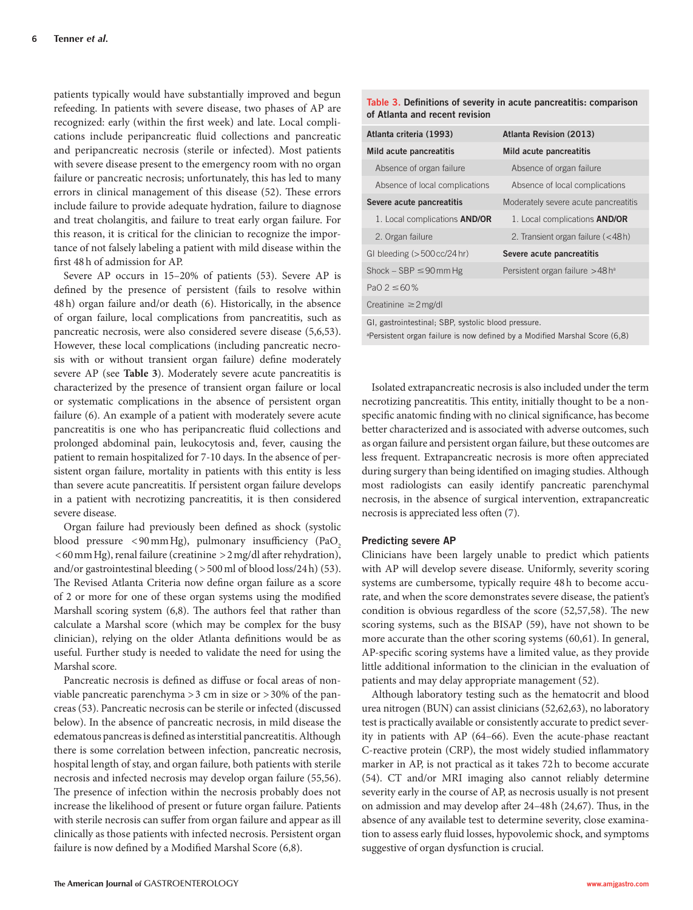patients typically would have substantially improved and begun refeeding. In patients with severe disease, two phases of AP are recognized: early (within the first week) and late. Local complications include peripancreatic fluid collections and pancreatic and peripancreatic necrosis (sterile or infected). Most patients with severe disease present to the emergency room with no organ failure or pancreatic necrosis; unfortunately, this has led to many errors in clinical management of this disease (52). These errors include failure to provide adequate hydration, failure to diagnose and treat cholangitis, and failure to treat early organ failure. For this reason, it is critical for the clinician to recognize the importance of not falsely labeling a patient with mild disease within the first 48 h of admission for AP.

Severe AP occurs in 15-20% of patients (53). Severe AP is defined by the presence of persistent (fails to resolve within 48 h) organ failure and/or death (6). Historically, in the absence of organ failure, local complications from pancreatitis, such as pancreatic necrosis, were also considered severe disease (5,6,53). However, these local complications (including pancreatic necrosis with or without transient organ failure) define moderately severe AP (see **Table 3**). Moderately severe acute pancreatitis is characterized by the presence of transient organ failure or local or systematic complications in the absence of persistent organ failure (6). An example of a patient with moderately severe acute pancreatitis is one who has peripancreatic fluid collections and prolonged abdominal pain, leukocytosis and, fever, causing the patient to remain hospitalized for 7-10 days. In the absence of persistent organ failure, mortality in patients with this entity is less than severe acute pancreatitis. If persistent organ failure develops in a patient with necrotizing pancreatitis, it is then considered severe disease.

Organ failure had previously been defined as shock (systolic blood pressure <90 mm Hg), pulmonary insufficiency (PaO,  $<$  60 mm Hg), renal failure (creatinine  $>$  2 mg/dl after rehydration), and/or gastrointestinal bleeding  $($  > 500 ml of blood loss/24 h) (53). The Revised Atlanta Criteria now define organ failure as a score of 2 or more for one of these organ systems using the modified Marshall scoring system  $(6,8)$ . The authors feel that rather than calculate a Marshal score (which may be complex for the busy clinician), relying on the older Atlanta definitions would be as useful. Further study is needed to validate the need for using the Marshal score.

Pancreatic necrosis is defined as diffuse or focal areas of nonviable pancreatic parenchyma  $>$  3 cm in size or  $>$  30% of the pancreas ( 53 ). Pancreatic necrosis can be sterile or infected (discussed below). In the absence of pancreatic necrosis, in mild disease the edematous pancreas is defined as interstitial pancreatitis. Although there is some correlation between infection, pancreatic necrosis, hospital length of stay, and organ failure, both patients with sterile necrosis and infected necrosis may develop organ failure (55,56) . The presence of infection within the necrosis probably does not increase the likelihood of present or future organ failure. Patients with sterile necrosis can suffer from organ failure and appear as ill clinically as those patients with infected necrosis. Persistent organ failure is now defined by a Modified Marshal Score (6,8).

Table 3. Definitions of severity in acute pancreatitis: comparison **of Atlanta and recent revision** 

| Atlanta criteria (1993)                       | <b>Atlanta Revision (2013)</b>               |  |  |
|-----------------------------------------------|----------------------------------------------|--|--|
| Mild acute pancreatitis                       | Mild acute pancreatitis                      |  |  |
| Absence of organ failure                      | Absence of organ failure                     |  |  |
| Absence of local complications                | Absence of local complications               |  |  |
| Severe acute pancreatitis                     | Moderately severe acute pancreatitis         |  |  |
| 1. Local complications <b>AND/OR</b>          | 1. Local complications <b>AND/OR</b>         |  |  |
| 2. Organ failure                              | 2. Transient organ failure (<48h)            |  |  |
| GI bleeding $(>500 \text{ cc}/24 \text{ hr})$ | Severe acute pancreatitis                    |  |  |
| Shock – SBP $\leq$ 90 mm Hg                   | Persistent organ failure > 48 h <sup>a</sup> |  |  |
| $PaO.2 \leq 60\%$                             |                                              |  |  |
| Creatinine $\geq$ 2 mg/dl                     |                                              |  |  |
|                                               |                                              |  |  |

GI, gastrointestinal; SBP, systolic blood pressure.

<sup>a</sup> Persistent organ failure is now defined by a Modified Marshal Score (6,8)

 Isolated extrapancreatic necrosis is also included under the term necrotizing pancreatitis. This entity, initially thought to be a nonspecific anatomic finding with no clinical significance, has become better characterized and is associated with adverse outcomes, such as organ failure and persistent organ failure, but these outcomes are less frequent. Extrapancreatic necrosis is more often appreciated during surgery than being identified on imaging studies. Although most radiologists can easily identify pancreatic parenchymal necrosis, in the absence of surgical intervention, extrapancreatic necrosis is appreciated less often (7).

#### **Predicting severe AP**

 Clinicians have been largely unable to predict which patients with AP will develop severe disease. Uniformly, severity scoring systems are cumbersome, typically require 48 h to become accurate, and when the score demonstrates severe disease, the patient's condition is obvious regardless of the score (52,57,58). The new scoring systems, such as the BISAP (59), have not shown to be more accurate than the other scoring systems (60,61). In general, AP-specific scoring systems have a limited value, as they provide little additional information to the clinician in the evaluation of patients and may delay appropriate management (52).

 Although laboratory testing such as the hematocrit and blood urea nitrogen (BUN) can assist clinicians ( 52,62,63 ), no laboratory test is practically available or consistently accurate to predict severity in patients with AP  $(64-66)$ . Even the acute-phase reactant C-reactive protein (CRP), the most widely studied inflammatory marker in AP, is not practical as it takes 72 h to become accurate (54). CT and/or MRI imaging also cannot reliably determine severity early in the course of AP, as necrosis usually is not present on admission and may develop after  $24-48h(24,67)$ . Thus, in the absence of any available test to determine severity, close examination to assess early fluid losses, hypovolemic shock, and symptoms suggestive of organ dysfunction is crucial.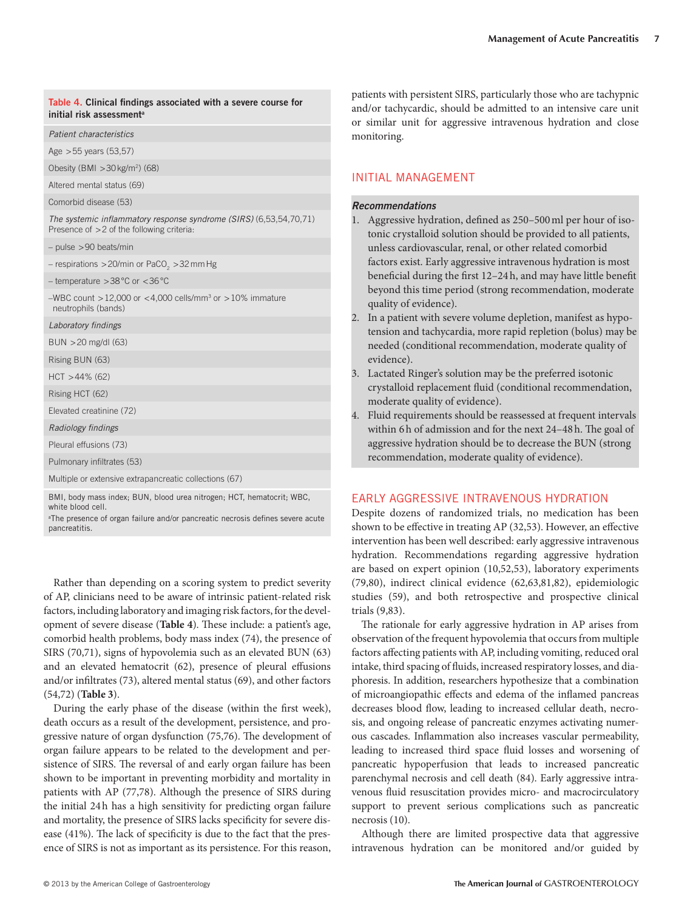#### Table 4. Clinical findings associated with a severe course for **initial risk assessmental**

*Patient characteristics*

Age  $> 55$  years (53,57)

Obesity (BMI  $>$  30 kg/m<sup>2</sup>) (68)

Altered mental status (69)

Comorbid disease (53)

*The systemic inflammatory response syndrome (SIRS)* (6,53,54,70,71) Presence of > 2 of the following criteria:

–pulse > 90 beats / min

– respirations  $>$  20/min or PaCO $_{_2}$   $>$  32 mm Hg

– temperature  $> 38^{\circ}$ C or  $< 36^{\circ}$ C

 $-WBC$  count  $>12,000$  or  $<$  4,000 cells/mm<sup>3</sup> or  $>10\%$  immature neutrophils (bands)

*Laboratory fi ndings*

 $BUN > 20$  mg/dl (63)

Rising BUN (63)

 $HCT > 44\%$  (62)

Rising HCT (62)

Elevated creatinine (72)

*Radiology fi ndings*

Pleural effusions (73)

Pulmonary infiltrates (53)

Multiple or extensive extrapancreatic collections (67)

BMI, body mass index; BUN, blood urea nitrogen; HCT, hematocrit; WBC, white blood cell.

<sup>a</sup>The presence of organ failure and/or pancreatic necrosis defines severe acute pancreatitis.

 Rather than depending on a scoring system to predict severity of AP, clinicians need to be aware of intrinsic patient-related risk factors, including laboratory and imaging risk factors, for the development of severe disease (Table 4). These include: a patient's age, comorbid health problems, body mass index (74), the presence of SIRS (70,71), signs of hypovolemia such as an elevated BUN (63) and an elevated hematocrit  $(62)$ , presence of pleural effusions and/or infiltrates  $(73)$ , altered mental status  $(69)$ , and other factors ( 54,72 ) ( **Table 3** ).

During the early phase of the disease (within the first week), death occurs as a result of the development, persistence, and progressive nature of organ dysfunction (75,76). The development of organ failure appears to be related to the development and persistence of SIRS. The reversal of and early organ failure has been shown to be important in preventing morbidity and mortality in patients with AP (77,78). Although the presence of SIRS during the initial 24 h has a high sensitivity for predicting organ failure and mortality, the presence of SIRS lacks specificity for severe disease (41%). The lack of specificity is due to the fact that the presence of SIRS is not as important as its persistence. For this reason, patients with persistent SIRS, particularly those who are tachypnic and/or tachycardic, should be admitted to an intensive care unit or similar unit for aggressive intravenous hydration and close monitoring.

# INITIAL MANAGEMENT

# *Recommendations*

- 1. Aggressive hydration, defined as 250-500 ml per hour of isotonic crystalloid solution should be provided to all patients, unless cardiovascular, renal, or other related comorbid factors exist. Early aggressive intravenous hydration is most beneficial during the first 12-24 h, and may have little benefit beyond this time period (strong recommendation, moderate quality of evidence).
- 2. In a patient with severe volume depletion, manifest as hypotension and tachycardia, more rapid repletion (bolus) may be needed (conditional recommendation, moderate quality of evidence).
- 3. Lactated Ringer's solution may be the preferred isotonic crystalloid replacement fluid (conditional recommendation, moderate quality of evidence).
- 4. Fluid requirements should be reassessed at frequent intervals within 6h of admission and for the next 24-48h. The goal of aggressive hydration should be to decrease the BUN (strong recommendation, moderate quality of evidence).

# EARLY AGGRESSIVE INTRAVENOUS HYDRATION

 Despite dozens of randomized trials, no medication has been shown to be effective in treating AP (32,53). However, an effective intervention has been well described: early aggressive intravenous hydration. Recommendations regarding aggressive hydration are based on expert opinion (10,52,53), laboratory experiments (79,80), indirect clinical evidence (62,63,81,82), epidemiologic studies (59), and both retrospective and prospective clinical trials (9,83).

The rationale for early aggressive hydration in AP arises from observation of the frequent hypovolemia that occurs from multiple factors affecting patients with AP, including vomiting, reduced oral intake, third spacing of fluids, increased respiratory losses, and diaphoresis. In addition, researchers hypothesize that a combination of microangiopathic effects and edema of the inflamed pancreas decreases blood flow, leading to increased cellular death, necrosis, and ongoing release of pancreatic enzymes activating numerous cascades. Inflammation also increases vascular permeability, leading to increased third space fluid losses and worsening of pancreatic hypoperfusion that leads to increased pancreatic parenchymal necrosis and cell death (84). Early aggressive intravenous fluid resuscitation provides micro- and macrocirculatory support to prevent serious complications such as pancreatic necrosis  $(10)$ .

 Although there are limited prospective data that aggressive intravenous hydration can be monitored and/or guided by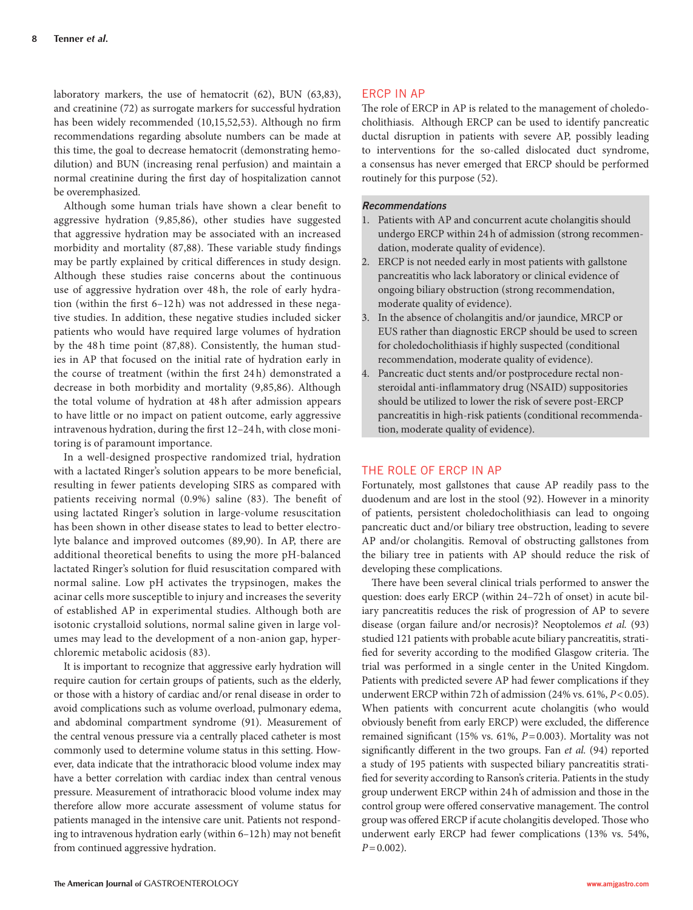laboratory markers, the use of hematocrit  $(62)$ , BUN  $(63,83)$ , and creatinine (72) as surrogate markers for successful hydration has been widely recommended (10,15,52,53). Although no firm recommendations regarding absolute numbers can be made at this time, the goal to decrease hematocrit (demonstrating hemodilution) and BUN (increasing renal perfusion) and maintain a normal creatinine during the first day of hospitalization cannot be overemphasized.

Although some human trials have shown a clear benefit to aggressive hydration (9,85,86), other studies have suggested that aggressive hydration may be associated with an increased morbidity and mortality (87,88). These variable study findings may be partly explained by critical differences in study design. Although these studies raise concerns about the continuous use of aggressive hydration over 48 h, the role of early hydration (within the first  $6 - 12h$ ) was not addressed in these negative studies. In addition, these negative studies included sicker patients who would have required large volumes of hydration by the 48 h time point (87,88). Consistently, the human studies in AP that focused on the initial rate of hydration early in the course of treatment (within the first 24h) demonstrated a decrease in both morbidity and mortality (9,85,86). Although the total volume of hydration at 48h after admission appears to have little or no impact on patient outcome, early aggressive intravenous hydration, during the first 12-24 h, with close monitoring is of paramount importance.

 In a well-designed prospective randomized trial, hydration with a lactated Ringer's solution appears to be more beneficial, resulting in fewer patients developing SIRS as compared with patients receiving normal  $(0.9\%)$  saline  $(83)$ . The benefit of using lactated Ringer's solution in large-volume resuscitation has been shown in other disease states to lead to better electrolyte balance and improved outcomes (89,90). In AP, there are additional theoretical benefits to using the more pH-balanced lactated Ringer's solution for fluid resuscitation compared with normal saline. Low pH activates the trypsinogen, makes the acinar cells more susceptible to injury and increases the severity of established AP in experimental studies. Although both are isotonic crystalloid solutions, normal saline given in large volumes may lead to the development of a non-anion gap, hyperchloremic metabolic acidosis (83).

 It is important to recognize that aggressive early hydration will require caution for certain groups of patients, such as the elderly, or those with a history of cardiac and/or renal disease in order to avoid complications such as volume overload, pulmonary edema, and abdominal compartment syndrome (91). Measurement of the central venous pressure via a centrally placed catheter is most commonly used to determine volume status in this setting. However, data indicate that the intrathoracic blood volume index may have a better correlation with cardiac index than central venous pressure. Measurement of intrathoracic blood volume index may therefore allow more accurate assessment of volume status for patients managed in the intensive care unit. Patients not responding to intravenous hydration early (within 6-12h) may not benefit from continued aggressive hydration.

# ERCP IN AP

The role of ERCP in AP is related to the management of choledocholithiasis. Although ERCP can be used to identify pancreatic ductal disruption in patients with severe AP, possibly leading to interventions for the so-called dislocated duct syndrome, a consensus has never emerged that ERCP should be performed routinely for this purpose (52).

# *Recommendations*

- 1. Patients with AP and concurrent acute cholangitis should undergo ERCP within 24 h of admission (strong recommendation, moderate quality of evidence).
- 2. ERCP is not needed early in most patients with gallstone pancreatitis who lack laboratory or clinical evidence of ongoing biliary obstruction (strong recommendation, moderate quality of evidence).
- 3. In the absence of cholangitis and/or jaundice, MRCP or EUS rather than diagnostic ERCP should be used to screen for choledocholithiasis if highly suspected (conditional recommendation, moderate quality of evidence).
- 4. Pancreatic duct stents and/or postprocedure rectal nonsteroidal anti-inflammatory drug (NSAID) suppositories should be utilized to lower the risk of severe post-ERCP pancreatitis in high-risk patients (conditional recommendation, moderate quality of evidence).

#### THE ROLE OF ERCP IN AP

 Fortunately, most gallstones that cause AP readily pass to the duodenum and are lost in the stool (92). However in a minority of patients, persistent choledocholithiasis can lead to ongoing pancreatic duct and/or biliary tree obstruction, leading to severe AP and/or cholangitis. Removal of obstructing gallstones from the biliary tree in patients with AP should reduce the risk of developing these complications.

There have been several clinical trials performed to answer the question: does early ERCP (within 24–72h of onset) in acute biliary pancreatitis reduces the risk of progression of AP to severe disease (organ failure and/or necrosis)? Neoptolemos et al. (93) studied 121 patients with probable acute biliary pancreatitis, stratified for severity according to the modified Glasgow criteria. The trial was performed in a single center in the United Kingdom. Patients with predicted severe AP had fewer complications if they underwent ERCP within 72h of admission (24% vs. 61%,  $P$  < 0.05). When patients with concurrent acute cholangitis (who would obviously benefit from early ERCP) were excluded, the difference remained significant (15% vs.  $61\%$ ,  $P=0.003$ ). Mortality was not significantly different in the two groups. Fan et al. (94) reported a study of 195 patients with suspected biliary pancreatitis stratified for severity according to Ranson's criteria. Patients in the study group underwent ERCP within 24 h of admission and those in the control group were offered conservative management. The control group was offered ERCP if acute cholangitis developed. Those who underwent early ERCP had fewer complications (13% vs. 54%,  $P = 0.002$ ).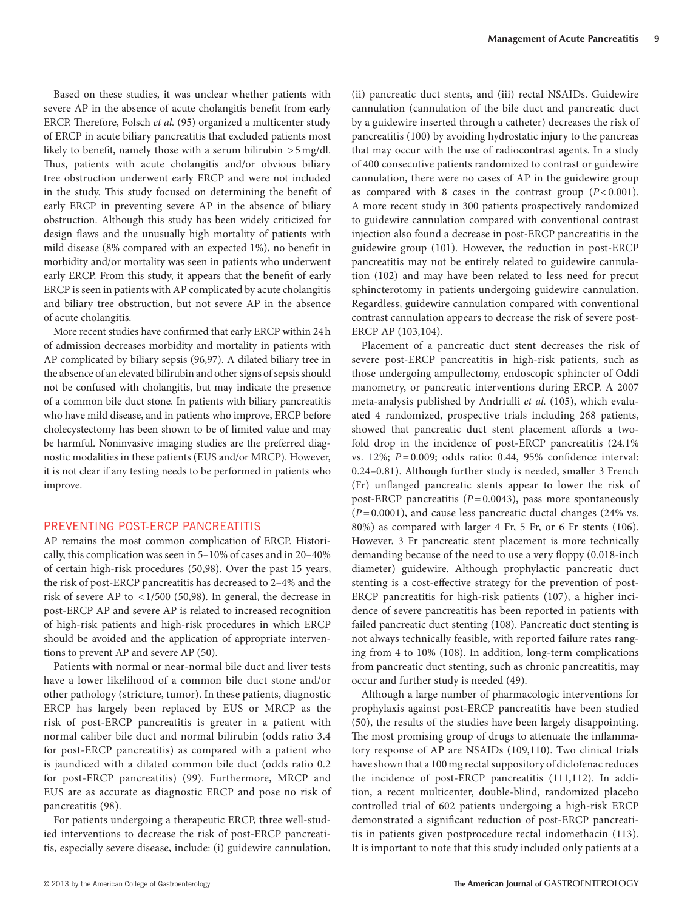Based on these studies, it was unclear whether patients with severe AP in the absence of acute cholangitis benefit from early ERCP. Therefore, Folsch et al. (95) organized a multicenter study of ERCP in acute biliary pancreatitis that excluded patients most likely to benefit, namely those with a serum bilirubin  $>$  5 mg/dl. Thus, patients with acute cholangitis and/or obvious biliary tree obstruction underwent early ERCP and were not included in the study. This study focused on determining the benefit of early ERCP in preventing severe AP in the absence of biliary obstruction. Although this study has been widely criticized for design flaws and the unusually high mortality of patients with mild disease (8% compared with an expected 1%), no benefit in morbidity and/or mortality was seen in patients who underwent early ERCP. From this study, it appears that the benefit of early ERCP is seen in patients with AP complicated by acute cholangitis and biliary tree obstruction, but not severe AP in the absence of acute cholangitis.

More recent studies have confirmed that early ERCP within 24 h of admission decreases morbidity and mortality in patients with AP complicated by biliary sepsis (96,97). A dilated biliary tree in the absence of an elevated bilirubin and other signs of sepsis should not be confused with cholangitis, but may indicate the presence of a common bile duct stone. In patients with biliary pancreatitis who have mild disease, and in patients who improve, ERCP before cholecystectomy has been shown to be of limited value and may be harmful. Noninvasive imaging studies are the preferred diagnostic modalities in these patients (EUS and/or MRCP). However, it is not clear if any testing needs to be performed in patients who improve.

#### PREVENTING POST-ERCP PANCREATITIS

 AP remains the most common complication of ERCP. Historically, this complication was seen in 5-10% of cases and in 20-40% of certain high-risk procedures (50,98). Over the past 15 years, the risk of post-ERCP pancreatitis has decreased to 2-4% and the risk of severe AP to  $\langle 1/500 (50, 98)$ . In general, the decrease in post-ERCP AP and severe AP is related to increased recognition of high-risk patients and high-risk procedures in which ERCP should be avoided and the application of appropriate interventions to prevent AP and severe AP (50).

 Patients with normal or near-normal bile duct and liver tests have a lower likelihood of a common bile duct stone and/or other pathology (stricture, tumor). In these patients, diagnostic ERCP has largely been replaced by EUS or MRCP as the risk of post-ERCP pancreatitis is greater in a patient with normal caliber bile duct and normal bilirubin (odds ratio 3.4 for post-ERCP pancreatitis) as compared with a patient who is jaundiced with a dilated common bile duct (odds ratio 0.2 for post-ERCP pancreatitis) (99). Furthermore, MRCP and EUS are as accurate as diagnostic ERCP and pose no risk of pancreatitis (98).

 For patients undergoing a therapeutic ERCP, three well-studied interventions to decrease the risk of post-ERCP pancreatitis, especially severe disease, include: (i) guidewire cannulation, (ii) pancreatic duct stents, and (iii) rectal NSAIDs. Guidewire cannulation (cannulation of the bile duct and pancreatic duct by a guidewire inserted through a catheter) decreases the risk of pancreatitis (100) by avoiding hydrostatic injury to the pancreas that may occur with the use of radiocontrast agents. In a study of 400 consecutive patients randomized to contrast or guidewire cannulation, there were no cases of AP in the guidewire group as compared with 8 cases in the contrast group  $(P < 0.001)$ . A more recent study in 300 patients prospectively randomized to guidewire cannulation compared with conventional contrast injection also found a decrease in post-ERCP pancreatitis in the guidewire group (101). However, the reduction in post-ERCP pancreatitis may not be entirely related to guidewire cannulation (102) and may have been related to less need for precut sphincterotomy in patients undergoing guidewire cannulation. Regardless, guidewire cannulation compared with conventional contrast cannulation appears to decrease the risk of severe post-ERCP AP (103,104).

 Placement of a pancreatic duct stent decreases the risk of severe post-ERCP pancreatitis in high-risk patients, such as those undergoing ampullectomy, endoscopic sphincter of Oddi manometry, or pancreatic interventions during ERCP. A 2007 meta-analysis published by Andriulli et al. (105), which evaluated 4 randomized, prospective trials including 268 patients, showed that pancreatic duct stent placement affords a twofold drop in the incidence of post-ERCP pancreatitis (24.1%) vs. 12%; *P* = 0.009; odds ratio: 0.44, 95% confidence interval: 0.24-0.81). Although further study is needed, smaller 3 French (Fr) unflanged pancreatic stents appear to lower the risk of post-ERCP pancreatitis  $(P=0.0043)$ , pass more spontaneously  $(P=0.0001)$ , and cause less pancreatic ductal changes (24% vs. 80%) as compared with larger 4 Fr, 5 Fr, or 6 Fr stents (106). However, 3 Fr pancreatic stent placement is more technically demanding because of the need to use a very floppy (0.018-inch diameter) guidewire. Although prophylactic pancreatic duct stenting is a cost-effective strategy for the prevention of post-ERCP pancreatitis for high-risk patients (107), a higher incidence of severe pancreatitis has been reported in patients with failed pancreatic duct stenting (108). Pancreatic duct stenting is not always technically feasible, with reported failure rates ranging from 4 to 10% (108). In addition, long-term complications from pancreatic duct stenting, such as chronic pancreatitis, may occur and further study is needed (49).

 Although a large number of pharmacologic interventions for prophylaxis against post-ERCP pancreatitis have been studied (50), the results of the studies have been largely disappointing. The most promising group of drugs to attenuate the inflammatory response of AP are NSAIDs (109,110). Two clinical trials have shown that a 100 mg rectal suppository of diclofenac reduces the incidence of post-ERCP pancreatitis (111,112). In addition, a recent multicenter, double-blind, randomized placebo controlled trial of 602 patients undergoing a high-risk ERCP demonstrated a significant reduction of post-ERCP pancreatitis in patients given postprocedure rectal indomethacin (113). It is important to note that this study included only patients at a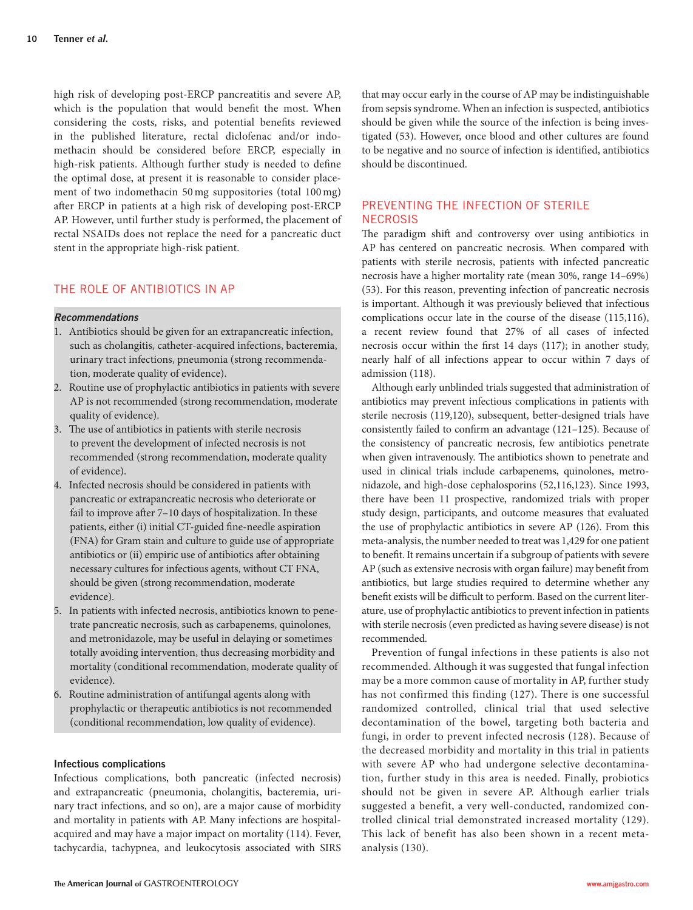high risk of developing post-ERCP pancreatitis and severe AP, which is the population that would benefit the most. When considering the costs, risks, and potential benefits reviewed in the published literature, rectal diclofenac and/or indomethacin should be considered before ERCP, especially in high-risk patients. Although further study is needed to define the optimal dose, at present it is reasonable to consider placement of two indomethacin 50 mg suppositories (total 100 mg) after ERCP in patients at a high risk of developing post-ERCP AP. However, until further study is performed, the placement of rectal NSAIDs does not replace the need for a pancreatic duct stent in the appropriate high-risk patient.

# THE ROLE OF ANTIBIOTICS IN AP

#### *Recommendations*

- 1. Antibiotics should be given for an extrapancreatic infection, such as cholangitis, catheter-acquired infections, bacteremia, urinary tract infections, pneumonia (strong recommendation, moderate quality of evidence).
- 2. Routine use of prophylactic antibiotics in patients with severe AP is not recommended (strong recommendation, moderate quality of evidence).
- 3. The use of antibiotics in patients with sterile necrosis to prevent the development of infected necrosis is not recommended (strong recommendation, moderate quality of evidence).
- 4. Infected necrosis should be considered in patients with pancreatic or extrapancreatic necrosis who deteriorate or fail to improve after 7-10 days of hospitalization. In these patients, either (i) initial CT-guided fine-needle aspiration (FNA) for Gram stain and culture to guide use of appropriate antibiotics or (ii) empiric use of antibiotics after obtaining necessary cultures for infectious agents, without CT FNA, should be given (strong recommendation, moderate evidence).
- 5. In patients with infected necrosis, antibiotics known to penetrate pancreatic necrosis, such as carbapenems, quinolones, and metronidazole, may be useful in delaying or sometimes totally avoiding intervention, thus decreasing morbidity and mortality (conditional recommendation, moderate quality of evidence).
- 6. Routine administration of antifungal agents along with prophylactic or therapeutic antibiotics is not recommended (conditional recommendation, low quality of evidence).

### **Infectious complications**

 Infectious complications, both pancreatic (infected necrosis) and extrapancreatic (pneumonia, cholangitis, bacteremia, urinary tract infections, and so on), are a major cause of morbidity and mortality in patients with AP. Many infections are hospitalacquired and may have a major impact on mortality (114). Fever, tachycardia, tachypnea, and leukocytosis associated with SIRS that may occur early in the course of AP may be indistinguishable from sepsis syndrome. When an infection is suspected, antibiotics should be given while the source of the infection is being investigated (53). However, once blood and other cultures are found to be negative and no source of infection is identified, antibiotics should be discontinued.

# PREVENTING THE INFECTION OF STERILE **NECROSIS**

The paradigm shift and controversy over using antibiotics in AP has centered on pancreatic necrosis. When compared with patients with sterile necrosis, patients with infected pancreatic necrosis have a higher mortality rate (mean 30%, range 14–69%) ( 53 ). For this reason, preventing infection of pancreatic necrosis is important. Although it was previously believed that infectious complications occur late in the course of the disease  $(115,116)$ , a recent review found that 27% of all cases of infected necrosis occur within the first  $14$  days  $(117)$ ; in another study, nearly half of all infections appear to occur within 7 days of admission (118).

 Although early unblinded trials suggested that administration of antibiotics may prevent infectious complications in patients with sterile necrosis (119,120), subsequent, better-designed trials have consistently failed to confirm an advantage (121-125). Because of the consistency of pancreatic necrosis, few antibiotics penetrate when given intravenously. The antibiotics shown to penetrate and used in clinical trials include carbapenems, quinolones, metronidazole, and high-dose cephalosporins (52,116,123). Since 1993, there have been 11 prospective, randomized trials with proper study design, participants, and outcome measures that evaluated the use of prophylactic antibiotics in severe AP (126). From this meta-analysis, the number needed to treat was 1,429 for one patient to benefit. It remains uncertain if a subgroup of patients with severe AP (such as extensive necrosis with organ failure) may benefit from antibiotics, but large studies required to determine whether any benefit exists will be difficult to perform. Based on the current literature, use of prophylactic antibiotics to prevent infection in patients with sterile necrosis (even predicted as having severe disease) is not recommended.

 Prevention of fungal infections in these patients is also not recommended. Although it was suggested that fungal infection may be a more common cause of mortality in AP, further study has not confirmed this finding (127). There is one successful randomized controlled, clinical trial that used selective decontamination of the bowel, targeting both bacteria and fungi, in order to prevent infected necrosis (128). Because of the decreased morbidity and mortality in this trial in patients with severe AP who had undergone selective decontamination, further study in this area is needed. Finally, probiotics should not be given in severe AP. Although earlier trials suggested a benefit, a very well-conducted, randomized controlled clinical trial demonstrated increased mortality (129). This lack of benefit has also been shown in a recent metaanalysis (130).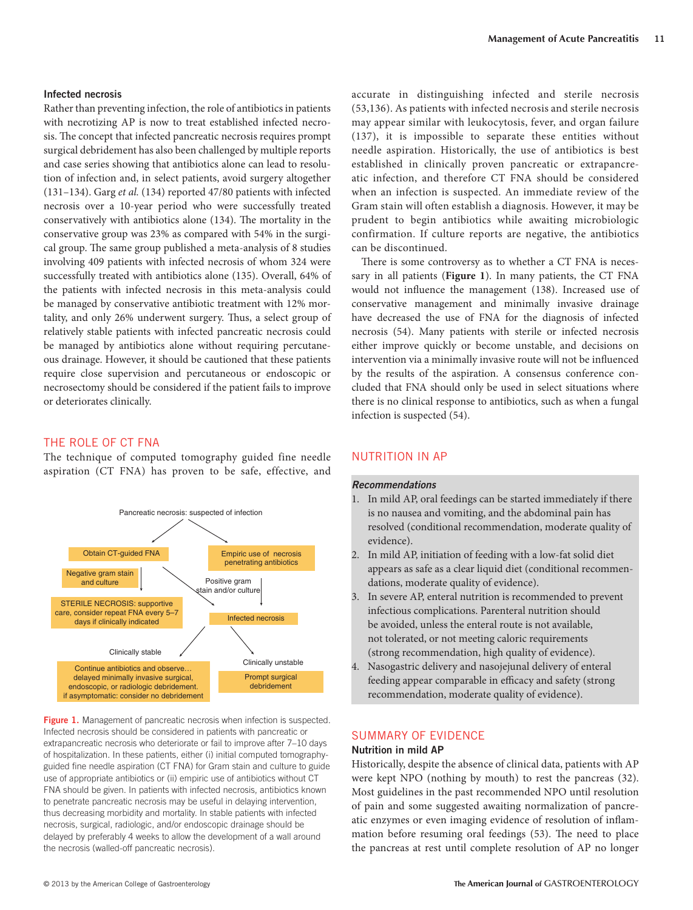#### **Infected necrosis**

 Rather than preventing infection, the role of antibiotics in patients with necrotizing AP is now to treat established infected necrosis. The concept that infected pancreatic necrosis requires prompt surgical debridement has also been challenged by multiple reports and case series showing that antibiotics alone can lead to resolution of infection and, in select patients, avoid surgery altogether (131-134). Garg et al. (134) reported 47/80 patients with infected necrosis over a 10-year period who were successfully treated conservatively with antibiotics alone (134). The mortality in the conservative group was 23% as compared with 54% in the surgical group. The same group published a meta-analysis of 8 studies involving 409 patients with infected necrosis of whom 324 were successfully treated with antibiotics alone (135). Overall, 64% of the patients with infected necrosis in this meta-analysis could be managed by conservative antibiotic treatment with 12% mortality, and only 26% underwent surgery. Thus, a select group of relatively stable patients with infected pancreatic necrosis could be managed by antibiotics alone without requiring percutaneous drainage. However, it should be cautioned that these patients require close supervision and percutaneous or endoscopic or necrosectomy should be considered if the patient fails to improve or deteriorates clinically.

# THE ROLE OF CT FNA

 The technique of computed tomography guided fine needle aspiration (CT FNA) has proven to be safe, effective, and



Figure 1. Management of pancreatic necrosis when infection is suspected. Infected necrosis should be considered in patients with pancreatic or extrapancreatic necrosis who deteriorate or fail to improve after 7-10 days of hospitalization. In these patients, either (i) initial computed tomographyguided fine needle aspiration (CT FNA) for Gram stain and culture to guide use of appropriate antibiotics or (ii) empiric use of antibiotics without CT FNA should be given. In patients with infected necrosis, antibiotics known to penetrate pancreatic necrosis may be useful in delaying intervention, thus decreasing morbidity and mortality. In stable patients with infected necrosis, surgical, radiologic, and/or endoscopic drainage should be delayed by preferably 4 weeks to allow the development of a wall around the necrosis (walled-off pancreatic necrosis).

accurate in distinguishing infected and sterile necrosis  $(53,136)$ . As patients with infected necrosis and sterile necrosis may appear similar with leukocytosis, fever, and organ failure  $(137)$ , it is impossible to separate these entities without needle aspiration. Historically, the use of antibiotics is best established in clinically proven pancreatic or extrapancreatic infection, and therefore CT FNA should be considered when an infection is suspected. An immediate review of the Gram stain will often establish a diagnosis. However, it may be prudent to begin antibiotics while awaiting microbiologic confirmation. If culture reports are negative, the antibiotics can be discontinued.

There is some controversy as to whether a CT FNA is necessary in all patients (**Figure 1**). In many patients, the CT FNA would not influence the management (138). Increased use of conservative management and minimally invasive drainage have decreased the use of FNA for the diagnosis of infected necrosis (54). Many patients with sterile or infected necrosis either improve quickly or become unstable, and decisions on intervention via a minimally invasive route will not be influenced by the results of the aspiration. A consensus conference concluded that FNA should only be used in select situations where there is no clinical response to antibiotics, such as when a fungal infection is suspected (54).

# NUTRITION IN AP

#### *Recommendations*

- 1. In mild AP, oral feedings can be started immediately if there is no nausea and vomiting, and the abdominal pain has resolved (conditional recommendation, moderate quality of evidence).
- 2. In mild AP, initiation of feeding with a low-fat solid diet appears as safe as a clear liquid diet (conditional recommendations, moderate quality of evidence).
- 3. In severe AP, enteral nutrition is recommended to prevent infectious complications. Parenteral nutrition should be avoided, unless the enteral route is not available, not tolerated, or not meeting caloric requirements (strong recommendation, high quality of evidence).
- 4. Nasogastric delivery and nasojejunal delivery of enteral feeding appear comparable in efficacy and safety (strong recommendation, moderate quality of evidence).

# SUMMARY OF EVIDENCE

#### **Nutrition in mild AP**

 Historically, despite the absence of clinical data, patients with AP were kept NPO (nothing by mouth) to rest the pancreas (32). Most guidelines in the past recommended NPO until resolution of pain and some suggested awaiting normalization of pancreatic enzymes or even imaging evidence of resolution of inflammation before resuming oral feedings (53). The need to place the pancreas at rest until complete resolution of AP no longer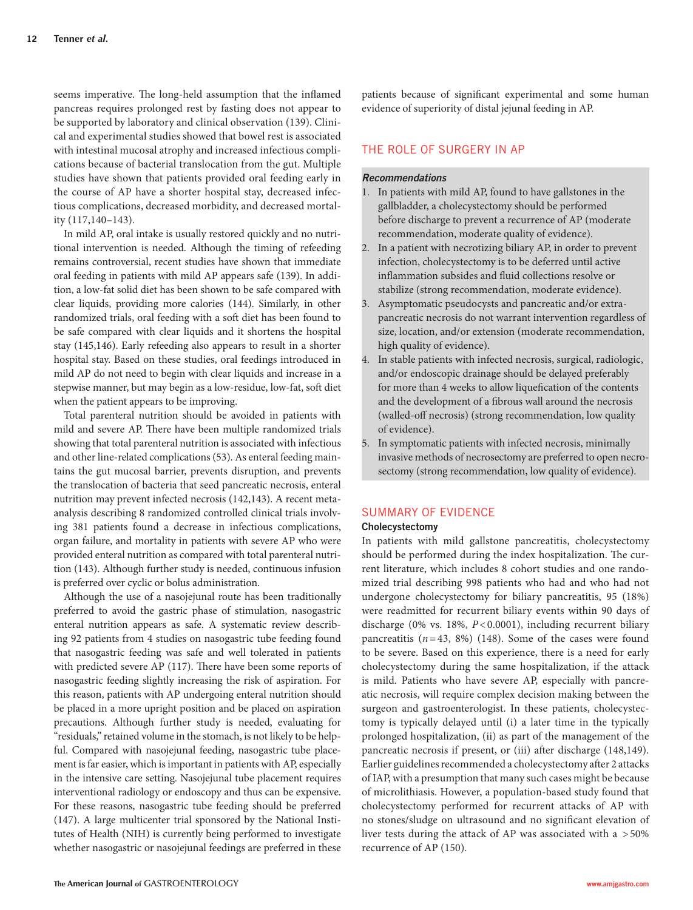seems imperative. The long-held assumption that the inflamed pancreas requires prolonged rest by fasting does not appear to be supported by laboratory and clinical observation (139). Clinical and experimental studies showed that bowel rest is associated with intestinal mucosal atrophy and increased infectious complications because of bacterial translocation from the gut. Multiple studies have shown that patients provided oral feeding early in the course of AP have a shorter hospital stay, decreased infectious complications, decreased morbidity, and decreased mortality (117,140-143).

 In mild AP, oral intake is usually restored quickly and no nutritional intervention is needed. Although the timing of refeeding remains controversial, recent studies have shown that immediate oral feeding in patients with mild AP appears safe ( 139 ). In addition, a low-fat solid diet has been shown to be safe compared with clear liquids, providing more calories (144). Similarly, in other randomized trials, oral feeding with a soft diet has been found to be safe compared with clear liquids and it shortens the hospital stay (145,146). Early refeeding also appears to result in a shorter hospital stay. Based on these studies, oral feedings introduced in mild AP do not need to begin with clear liquids and increase in a stepwise manner, but may begin as a low-residue, low-fat, soft diet when the patient appears to be improving.

 Total parenteral nutrition should be avoided in patients with mild and severe AP. There have been multiple randomized trials showing that total parenteral nutrition is associated with infectious and other line-related complications (53). As enteral feeding maintains the gut mucosal barrier, prevents disruption, and prevents the translocation of bacteria that seed pancreatic necrosis, enteral nutrition may prevent infected necrosis (142,143). A recent metaanalysis describing 8 randomized controlled clinical trials involving 381 patients found a decrease in infectious complications, organ failure, and mortality in patients with severe AP who were provided enteral nutrition as compared with total parenteral nutrition (143). Although further study is needed, continuous infusion is preferred over cyclic or bolus administration.

 Although the use of a nasojejunal route has been traditionally preferred to avoid the gastric phase of stimulation, nasogastric enteral nutrition appears as safe. A systematic review describing 92 patients from 4 studies on nasogastric tube feeding found that nasogastric feeding was safe and well tolerated in patients with predicted severe AP (117). There have been some reports of nasogastric feeding slightly increasing the risk of aspiration. For this reason, patients with AP undergoing enteral nutrition should be placed in a more upright position and be placed on aspiration precautions. Although further study is needed, evaluating for " residuals," retained volume in the stomach, is not likely to be helpful. Compared with nasojejunal feeding, nasogastric tube placement is far easier, which is important in patients with AP, especially in the intensive care setting. Nasojejunal tube placement requires interventional radiology or endoscopy and thus can be expensive. For these reasons, nasogastric tube feeding should be preferred (147). A large multicenter trial sponsored by the National Institutes of Health (NIH) is currently being performed to investigate whether nasogastric or nasojejunal feedings are preferred in these patients because of significant experimental and some human evidence of superiority of distal jejunal feeding in AP.

# THE ROLE OF SURGERY IN AP

#### *Recommendations*

- 1. In patients with mild AP, found to have gallstones in the gallbladder, a cholecystectomy should be performed before discharge to prevent a recurrence of AP (moderate recommendation, moderate quality of evidence).
- 2. In a patient with necrotizing biliary AP, in order to prevent infection, cholecystectomy is to be deferred until active inflammation subsides and fluid collections resolve or stabilize (strong recommendation, moderate evidence).
- 3. Asymptomatic pseudocysts and pancreatic and/or extrapancreatic necrosis do not warrant intervention regardless of size, location, and/or extension (moderate recommendation, high quality of evidence).
- 4. In stable patients with infected necrosis, surgical, radiologic, and/or endoscopic drainage should be delayed preferably for more than 4 weeks to allow liquefication of the contents and the development of a fibrous wall around the necrosis (walled-off necrosis) (strong recommendation, low quality of evidence).
- 5. In symptomatic patients with infected necrosis, minimally invasive methods of necrosectomy are preferred to open necrosectomy (strong recommendation, low quality of evidence).

# SUMMARY OF EVIDENCE

#### **Cholecystectomy**

 In patients with mild gallstone pancreatitis, cholecystectomy should be performed during the index hospitalization. The current literature, which includes 8 cohort studies and one randomized trial describing 998 patients who had and who had not undergone cholecystectomy for biliary pancreatitis, 95 (18%) were readmitted for recurrent biliary events within 90 days of discharge (0% vs. 18%,  $P < 0.0001$ ), including recurrent biliary pancreatitis  $(n=43, 8\%)$  (148). Some of the cases were found to be severe. Based on this experience, there is a need for early cholecystectomy during the same hospitalization, if the attack is mild. Patients who have severe AP, especially with pancreatic necrosis, will require complex decision making between the surgeon and gastroenterologist. In these patients, cholecystectomy is typically delayed until (i) a later time in the typically prolonged hospitalization, (ii) as part of the management of the pancreatic necrosis if present, or (iii) after discharge (148,149). Earlier guidelines recommended a cholecystectomy after 2 attacks of IAP, with a presumption that many such cases might be because of microlithiasis. However, a population-based study found that cholecystectomy performed for recurrent attacks of AP with no stones/sludge on ultrasound and no significant elevation of liver tests during the attack of AP was associated with a > 50% recurrence of AP (150).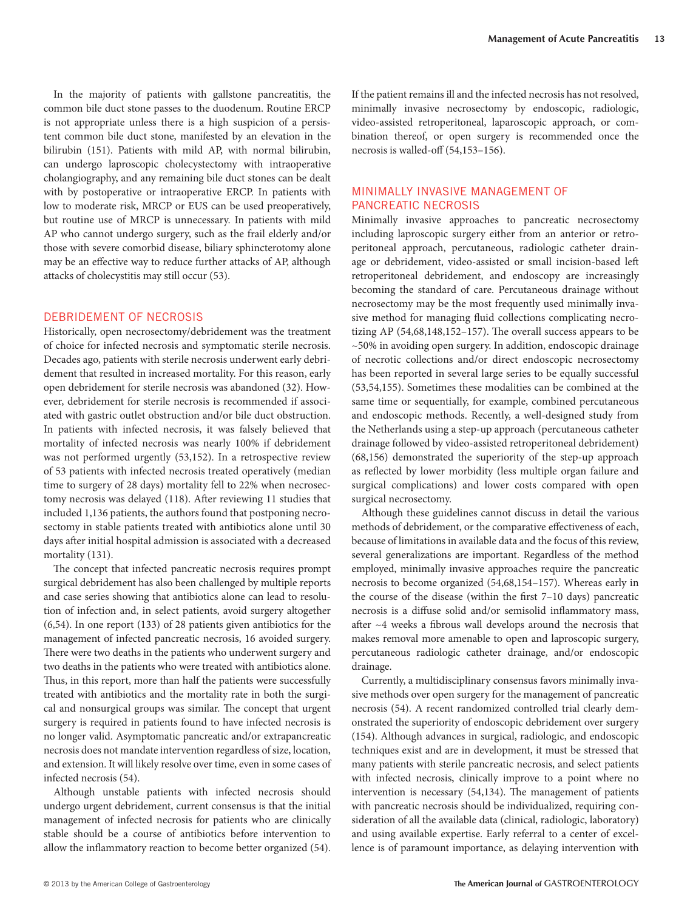In the majority of patients with gallstone pancreatitis, the common bile duct stone passes to the duodenum. Routine ERCP is not appropriate unless there is a high suspicion of a persistent common bile duct stone, manifested by an elevation in the bilirubin (151). Patients with mild AP, with normal bilirubin, can undergo laproscopic cholecystectomy with intraoperative cholangiography, and any remaining bile duct stones can be dealt with by postoperative or intraoperative ERCP. In patients with low to moderate risk, MRCP or EUS can be used preoperatively, but routine use of MRCP is unnecessary. In patients with mild AP who cannot undergo surgery, such as the frail elderly and/or those with severe comorbid disease, biliary sphincterotomy alone may be an effective way to reduce further attacks of AP, although attacks of cholecystitis may still occur (53).

# DEBRIDEMENT OF NECROSIS

Historically, open necrosectomy/debridement was the treatment of choice for infected necrosis and symptomatic sterile necrosis. Decades ago, patients with sterile necrosis underwent early debridement that resulted in increased mortality. For this reason, early open debridement for sterile necrosis was abandoned (32). However, debridement for sterile necrosis is recommended if associated with gastric outlet obstruction and/or bile duct obstruction. In patients with infected necrosis, it was falsely believed that mortality of infected necrosis was nearly 100% if debridement was not performed urgently (53,152). In a retrospective review of 53 patients with infected necrosis treated operatively (median time to surgery of 28 days) mortality fell to 22% when necrosectomy necrosis was delayed (118). After reviewing 11 studies that included 1,136 patients, the authors found that postponing necrosectomy in stable patients treated with antibiotics alone until 30 days after initial hospital admission is associated with a decreased mortality (131).

The concept that infected pancreatic necrosis requires prompt surgical debridement has also been challenged by multiple reports and case series showing that antibiotics alone can lead to resolution of infection and, in select patients, avoid surgery altogether ( 6,54 ). In one report ( 133 ) of 28 patients given antibiotics for the management of infected pancreatic necrosis, 16 avoided surgery. There were two deaths in the patients who underwent surgery and two deaths in the patients who were treated with antibiotics alone. Thus, in this report, more than half the patients were successfully treated with antibiotics and the mortality rate in both the surgical and nonsurgical groups was similar. The concept that urgent surgery is required in patients found to have infected necrosis is no longer valid. Asymptomatic pancreatic and/or extrapancreatic necrosis does not mandate intervention regardless of size, location, and extension. It will likely resolve over time, even in some cases of infected necrosis (54).

 Although unstable patients with infected necrosis should undergo urgent debridement, current consensus is that the initial management of infected necrosis for patients who are clinically stable should be a course of antibiotics before intervention to allow the inflammatory reaction to become better organized (54). If the patient remains ill and the infected necrosis has not resolved, minimally invasive necrosectomy by endoscopic, radiologic, video-assisted retroperitoneal, laparoscopic approach, or combination thereof, or open surgery is recommended once the necrosis is walled-off (54,153-156).

# MINIMALLY INVASIVE MANAGEMENT OF PANCREATIC NECROSIS

 Minimally invasive approaches to pancreatic necrosectomy including laproscopic surgery either from an anterior or retroperitoneal approach, percutaneous, radiologic catheter drainage or debridement, video-assisted or small incision-based left retroperitoneal debridement, and endoscopy are increasingly becoming the standard of care. Percutaneous drainage without necrosectomy may be the most frequently used minimally invasive method for managing fluid collections complicating necrotizing AP ( $54,68,148,152-157$ ). The overall success appears to be ~ 50 % in avoiding open surgery. In addition, endoscopic drainage of necrotic collections and/or direct endoscopic necrosectomy has been reported in several large series to be equally successful ( 53,54,155 ). Sometimes these modalities can be combined at the same time or sequentially, for example, combined percutaneous and endoscopic methods. Recently, a well-designed study from the Netherlands using a step-up approach (percutaneous catheter drainage followed by video-assisted retroperitoneal debridement)  $(68,156)$  demonstrated the superiority of the step-up approach as reflected by lower morbidity (less multiple organ failure and surgical complications) and lower costs compared with open surgical necrosectomy.

 Although these guidelines cannot discuss in detail the various methods of debridement, or the comparative effectiveness of each, because of limitations in available data and the focus of this review, several generalizations are important. Regardless of the method employed, minimally invasive approaches require the pancreatic necrosis to become organized (54,68,154-157). Whereas early in the course of the disease (within the first  $7-10$  days) pancreatic necrosis is a diffuse solid and/or semisolid inflammatory mass, after  $~1$  weeks a fibrous wall develops around the necrosis that makes removal more amenable to open and laproscopic surgery, percutaneous radiologic catheter drainage, and/or endoscopic drainage.

 Currently, a multidisciplinary consensus favors minimally invasive methods over open surgery for the management of pancreatic necrosis (54). A recent randomized controlled trial clearly demonstrated the superiority of endoscopic debridement over surgery (154). Although advances in surgical, radiologic, and endoscopic techniques exist and are in development, it must be stressed that many patients with sterile pancreatic necrosis, and select patients with infected necrosis, clinically improve to a point where no intervention is necessary (54,134). The management of patients with pancreatic necrosis should be individualized, requiring consideration of all the available data (clinical, radiologic, laboratory) and using available expertise. Early referral to a center of excellence is of paramount importance, as delaying intervention with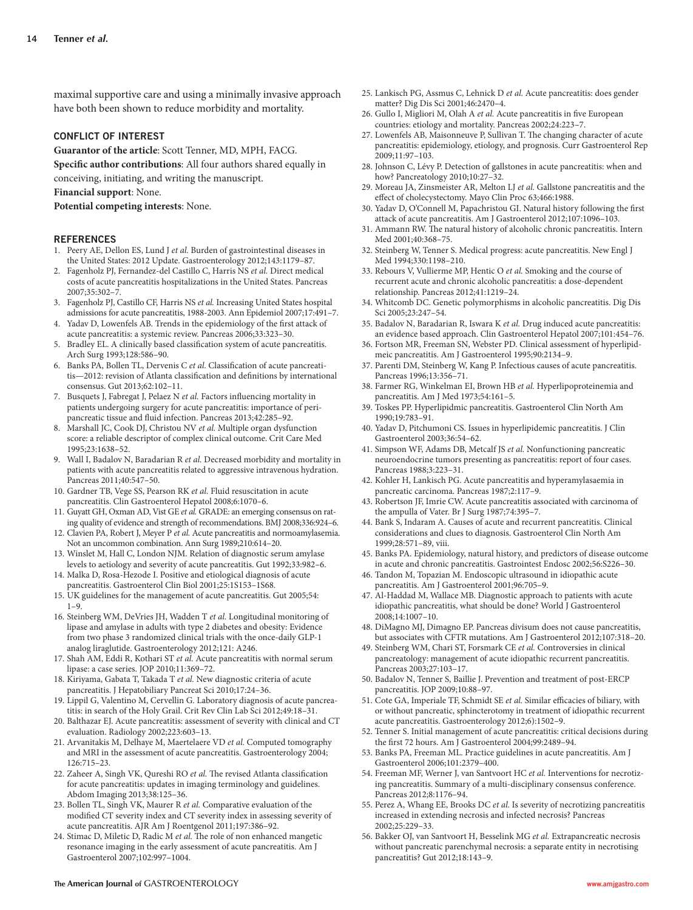maximal supportive care and using a minimally invasive approach have both been shown to reduce morbidity and mortality.

#### **CONFLICT OF INTEREST**

Guarantor of the article: Scott Tenner, MD, MPH, FACG.

**Specific author contributions:** All four authors shared equally in conceiving, initiating, and writing the manuscript.

#### **Financial support:** None.

**Potential competing interests:** None.

#### **REFERENCES**

- 1. Peery AE, Dellon ES, Lund J et al. Burden of gastrointestinal diseases in the United States: 2012 Update. Gastroenterology 2012;143:1179-87.
- 2. Fagenholz PJ, Fernandez-del Castillo C, Harris NS et al. Direct medical costs of acute pancreatitis hospitalizations in the United States . Pancreas 2007 ; 35 : 302 – 7 .
- 3. Fagenholz PJ, Castillo CF, Harris NS et al. Increasing United States hospital admissions for acute pancreatitis, 1988-2003. Ann Epidemiol 2007;17:491-7.
- 4. Yadav D, Lowenfels AB. Trends in the epidemiology of the first attack of acute pancreatitis: a systemic review. Pancreas 2006;33:323-30.
- 5. Bradley EL. A clinically based classification system of acute pancreatitis. Arch Surg 1993;128:586-90.
- 6. Banks PA, Bollen TL, Dervenis C et al. Classification of acute pancreatitis-2012: revision of Atlanta classification and definitions by international consensus. Gut 2013;62:102-11.
- 7. Busquets J, Fabregat J, Pelaez N et al. Factors influencing mortality in patients undergoing surgery for acute pancreatitis: importance of peripancreatic tissue and fluid infection. Pancreas 2013;42:285-92
- 8. Marshall JC, Cook DJ, Christou NV *et al.* Multiple organ dysfunction score: a reliable descriptor of complex clinical outcome. Crit Care Med 1995:23:1638-52.
- 9. Wall I, Badalov N, Baradarian R et al. Decreased morbidity and mortality in patients with acute pancreatitis related to aggressive intravenous hydration. Pancreas 2011;40:547-50.
- 10. Gardner TB, Vege SS, Pearson RK et al. Fluid resuscitation in acute pancreatitis. Clin Gastroenterol Hepatol 2008;6:1070-6.
- 11. Guyatt GH, Oxman AD, Vist GE et al. GRADE: an emerging consensus on rating quality of evidence and strength of recommendations. BMJ 2008;336:924-6.
- 12. Clavien PA, Robert J, Meyer P et al. Acute pancreatitis and normoamylasemia. Not an uncommon combination. Ann Surg 1989;210:614-20.
- 13. Winslet M, Hall C, London NJM. Relation of diagnostic serum amylase levels to aetiology and severity of acute pancreatitis. Gut 1992;33:982-6.
- 14. Malka D, Rosa-Hezode I. Positive and etiological diagnosis of acute pancreatitis. Gastroenterol Clin Biol 2001;25:1S153-1S68.
- 15. UK guidelines for the management of acute pancreatitis. Gut 2005;54:  $1 - 9$
- 16. Steinberg WM, DeVries JH, Wadden T et al. Longitudinal monitoring of lipase and amylase in adults with type 2 diabetes and obesity: Evidence from two phase 3 randomized clinical trials with the once-daily GLP-1 analog liraglutide. Gastroenterology 2012;121: A246.
- 17. Shah AM, Eddi R, Kothari ST et al. Acute pancreatitis with normal serum lipase: a case series. JOP 2010;11:369-72.
- 18. Kiriyama, Gabata T, Takada T et al. New diagnostic criteria of acute pancreatitis. J Hepatobiliary Pancreat Sci 2010;17:24-36.
- 19. Lippil G, Valentino M, Cervellin G. Laboratory diagnosis of acute pancreatitis: in search of the Holy Grail. Crit Rev Clin Lab Sci 2012;49:18-31.
- 20 . Balthazar EJ . Acute pancreatitis: assessment of severity with clinical and CT evaluation. Radiology 2002;223:603-13.
- 21. Arvanitakis M, Delhaye M, Maertelaere VD et al. Computed tomography and MRI in the assessment of acute pancreatitis. Gastroenterology 2004; 126:715-23.
- 22. Zaheer A, Singh VK, Qureshi RO et al. The revised Atlanta classification for acute pancreatitis: updates in imaging terminology and guidelines . Abdom Imaging 2013;38:125-36.
- 23. Bollen TL, Singh VK, Maurer R et al. Comparative evaluation of the modified CT severity index and CT severity index in assessing severity of acute pancreatitis. AJR Am J Roentgenol 2011;197:386-92.
- 24. Stimac D, Miletic D, Radic M et al. The role of non enhanced mangetic resonance imaging in the early assessment of acute pancreatitis . Am J Gastroenterol 2007;102:997-1004.
- 25. Lankisch PG, Assmus C, Lehnick D et al. Acute pancreatitis: does gender matter? Dig Dis Sci 2001;46:2470-4.
- 26. Gullo I, Migliori M, Olah A et al. Acute pancreatitis in five European countries: etiology and mortality. Pancreas 2002;24:223-7.
- 27. Lowenfels AB, Maisonneuve P, Sullivan T. The changing character of acute pancreatitis: epidemiology, etiology, and prognosis . Curr Gastroenterol Rep  $2009 \cdot 11 \cdot 97 - 103$
- 28. Johnson C, Lévy P. Detection of gallstones in acute pancreatitis: when and how? Pancreatology 2010;10:27-32.
- 29 . Moreau JA , Zinsmeister AR , Melton LJ *et al.* Gallstone pancreatitis and the effect of cholecystectomy. Mayo Clin Proc 63;466:1988.
- 30. Yadav D, O'Connell M, Papachristou GI. Natural history following the first attack of acute pancreatitis. Am J Gastroenterol 2012;107:1096-103.
- 31. Ammann RW. The natural history of alcoholic chronic pancreatitis. Intern Med 2001;40:368-75.
- 32. Steinberg W, Tenner S. Medical progress: acute pancreatitis. New Engl J Med 1994;330:1198-210.
- 33 . Rebours V , Vullierme MP , Hentic O *et al.* Smoking and the course of recurrent acute and chronic alcoholic pancreatitis: a dose-dependent relationship. Pancreas 2012;41:1219-24.
- 34 . Whitcomb DC . Genetic polymorphisms in alcoholic pancreatitis . Dig Dis Sci 2005:23:247-54.
- 35. Badalov N, Baradarian R, Iswara K et al. Drug induced acute pancreatitis: an evidence based approach. Clin Gastroenterol Hepatol 2007;101:454-76.
- 36. Fortson MR, Freeman SN, Webster PD. Clinical assessment of hyperlipidmeic pancreatitis. Am J Gastroenterol 1995;90:2134-9.
- 37. Parenti DM, Steinberg W, Kang P. Infectious causes of acute pancreatitis. Pancreas 1996;13:356-71.
- 38 . Farmer RG , Winkelman EI , Brown HB *et al.* Hyperlipoproteinemia and pancreatitis. Am J Med 1973;54:161-5.
- 39 . Toskes PP . Hyperlipidmic pancreatitis . Gastroenterol Clin North Am 1990:19:783-91.
- 40. Yadav D, Pitchumoni CS. Issues in hyperlipidemic pancreatitis. J Clin Gastroenterol 2003;36:54-62.
- 41 . Simpson WF , Adams DB , Metcalf JS *et al.* Nonfunctioning pancreatic neuroendocrine tumors presenting as pancreatitis: report of four cases . Pancreas 1988;3:223-31.
- 42. Kohler H, Lankisch PG. Acute pancreatitis and hyperamylasaemia in pancreatic carcinoma. Pancreas 1987;2:117-9.
- 43. Robertson JF, Imrie CW. Acute pancreatitis associated with carcinoma of the ampulla of Vater. Br J Surg 1987;74:395-7.
- 44. Bank S, Indaram A. Causes of acute and recurrent pancreatitis. Clinical considerations and clues to diagnosis . Gastroenterol Clin North Am 1999;28:571-89, viii.
- 45 . Banks PA . Epidemiology, natural history, and predictors of disease outcome in acute and chronic pancreatitis. Gastrointest Endosc 2002;56:S226-30.
- 46. Tandon M, Topazian M. Endoscopic ultrasound in idiopathic acute pancreatitis. Am J Gastroenterol 2001;96:705-9.
- 47. Al-Haddad M, Wallace MB. Diagnostic approach to patients with acute idiopathic pancreatitis, what should be done? World J Gastroenterol  $2008:14:1007-10$
- 48. DiMagno MJ, Dimagno EP. Pancreas divisum does not cause pancreatitis, but associates with CFTR mutations. Am J Gastroenterol 2012;107:318-20.
- 49. Steinberg WM, Chari ST, Forsmark CE et al. Controversies in clinical pancreatology: management of acute idiopathic recurrent pancreatitis. Pancreas 2003:27:103-17.
- 50. Badalov N, Tenner S, Baillie J. Prevention and treatment of post-ERCP pancreatitis. JOP 2009;10:88-97.
- 51. Cote GA, Imperiale TF, Schmidt SE et al. Similar efficacies of biliary, with or without pancreatic, sphincterotomy in treatment of idiopathic recurrent acute pancreatitis. Gastroenterology 2012;6):1502-9.
- 52. Tenner S. Initial management of acute pancreatitis: critical decisions during the first 72 hours. Am J Gastroenterol 2004;99:2489-94.
- 53. Banks PA, Freeman ML. Practice guidelines in acute pancreatitis. Am J Gastroenterol 2006;101:2379-400.
- 54. Freeman MF, Werner J, van Santvoort HC et al. Interventions for necrotizing pancreatitis. Summary of a multi-disciplinary consensus conference . Pancreas 2012;8:1176-94.
- 55. Perez A, Whang EE, Brooks DC et al. Is severity of necrotizing pancreatitis increased in extending necrosis and infected necrosis? Pancreas  $2002:25:229-33$
- 56. Bakker OJ, van Santvoort H, Besselink MG et al. Extrapancreatic necrosis without pancreatic parenchymal necrosis: a separate entity in necrotising pancreatitis? Gut 2012;18:143-9.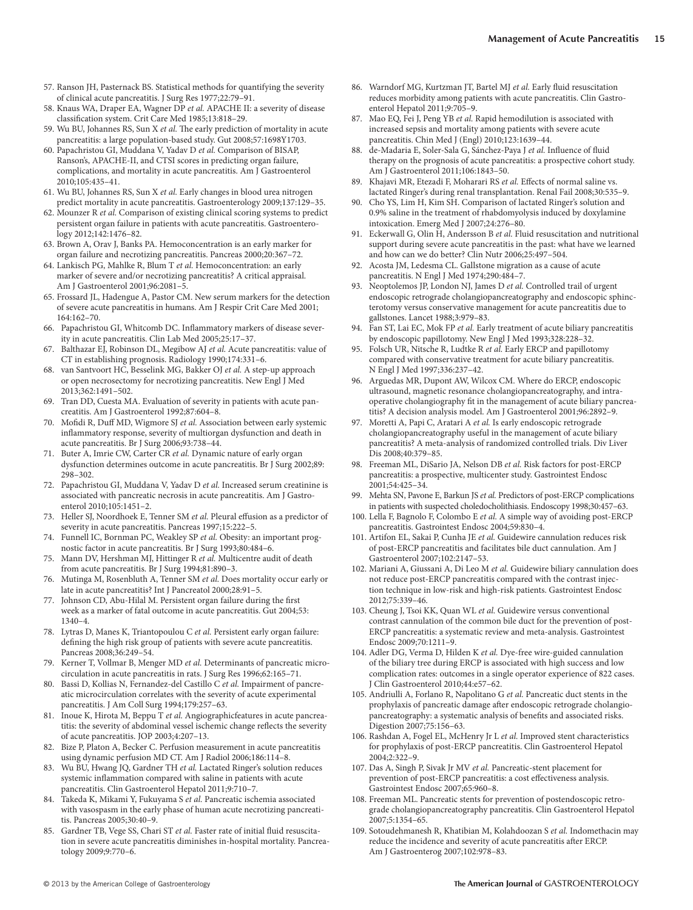- 57. Ranson JH, Pasternack BS. Statistical methods for quantifying the severity of clinical acute pancreatitis. J Surg Res 1977;22:79-91.
- 58 . Knaus WA , Draper EA , Wagner DP *et al.* APACHE II: a severity of disease classification system. Crit Care Med 1985;13:818-29.
- 59. Wu BU, Johannes RS, Sun X et al. The early prediction of mortality in acute pancreatitis: a large population-based study. Gut 2008;57:1698Y1703.
- 60. Papachristou GI, Muddana V, Yadav D et al. Comparison of BISAP, Ranson's, APACHE-II, and CTSI scores in predicting organ failure, complications, and mortality in acute pancreatitis . Am J Gastroenterol 2010;105:435-41.
- 61. Wu BU, Johannes RS, Sun X et al. Early changes in blood urea nitrogen predict mortality in acute pancreatitis. Gastroenterology 2009;137:129-35.
- 62 . Mounzer R *et al.* Comparison of existing clinical scoring systems to predict persistent organ failure in patients with acute pancreatitis. Gastroenterology 2012;142:1476-82.
- 63. Brown A, Orav J, Banks PA. Hemoconcentration is an early marker for organ failure and necrotizing pancreatitis. Pancreas 2000;20:367-72.
- 64. Lankisch PG, Mahlke R, Blum T et al. Hemoconcentration: an early marker of severe and/or necrotizing pancreatitis? A critical appraisal. Am J Gastroenterol 2001;96:2081-5.
- 65. Frossard JL, Hadengue A, Pastor CM. New serum markers for the detection of severe acute pancreatitis in humans. Am J Respir Crit Care Med 2001; 164:162-70.
- 66. Papachristou GI, Whitcomb DC. Inflammatory markers of disease severity in acute pancreatitis. Clin Lab Med 2005;25:17-37.
- 67. Balthazar EJ, Robinson DL, Megibow AJ et al. Acute pancreatitis: value of CT in establishing prognosis. Radiology 1990;174:331-6.
- 68 . van Santvoort HC , Besselink MG , Bakker OJ *et al.* A step-up approach or open necrosectomy for necrotizing pancreatitis . New Engl J Med 2013;362:1491-502.
- 69. Tran DD, Cuesta MA. Evaluation of severity in patients with acute pancreatitis. Am J Gastroenterol 1992;87:604-8.
- 70. Mofidi R, Duff MD, Wigmore SJ et al. Association between early systemic inflammatory response, severity of multiorgan dysfunction and death in acute pancreatitis. Br J Surg 2006;93:738-44.
- 71. Buter A, Imrie CW, Carter CR et al. Dynamic nature of early organ dysfunction determines outcome in acute pancreatitis. Br J Surg 2002;89: 298 – 302.
- 72. Papachristou GI, Muddana V, Yadav D et al. Increased serum creatinine is associated with pancreatic necrosis in acute pancreatitis . Am J Gastroenterol 2010;105:1451-2.
- 73. Heller SJ, Noordhoek E, Tenner SM et al. Pleural effusion as a predictor of severity in acute pancreatitis. Pancreas 1997;15:222-5.
- 74. Funnell IC, Bornman PC, Weakley SP et al. Obesity: an important prognostic factor in acute pancreatitis. Br J Surg 1993;80:484-6.
- 75 . Mann DV , Hershman MJ , Hittinger R *et al.* Multicentre audit of death from acute pancreatitis. Br J Surg 1994;81:890-3.
- 76. Mutinga M, Rosenbluth A, Tenner SM *et al.* Does mortality occur early or late in acute pancreatitis? Int J Pancreatol 2000;28:91-5.
- 77. Johnson CD, Abu-Hilal M. Persistent organ failure during the first week as a marker of fatal outcome in acute pancreatitis. Gut 2004;53:  $1340 - 4$ .
- 78. Lytras D, Manes K, Triantopoulou C et al. Persistent early organ failure: defining the high risk group of patients with severe acute pancreatitis. Pancreas 2008;36:249-54.
- 79. Kerner T, Vollmar B, Menger MD et al. Determinants of pancreatic microcirculation in acute pancreatitis in rats. J Surg Res 1996;62:165-71.
- 80. Bassi D, Kollias N, Fernandez-del Castillo C et al. Impairment of pancreatic microcirculation correlates with the severity of acute experimental pancreatitis. J Am Coll Surg 1994;179:257-63.
- 81. Inoue K, Hirota M, Beppu T et al. Angiographicfeatures in acute pancreatitis: the severity of abdominal vessel ischemic change reflects the severity of acute pancreatitis. JOP 2003;4:207-13.
- 82. Bize P, Platon A, Becker C. Perfusion measurement in acute pancreatitis using dynamic perfusion MD CT. Am J Radiol 2006;186:114-8.
- 83. Wu BU, Hwang JQ, Gardner TH et al. Lactated Ringer's solution reduces systemic inflammation compared with saline in patients with acute pancreatitis. Clin Gastroenterol Hepatol 2011;9:710-7.
- 84. Takeda K, Mikami Y, Fukuyama S et al. Pancreatic ischemia associated with vasospasm in the early phase of human acute necrotizing pancreatitis. Pancreas 2005:30:40-9.
- 85. Gardner TB, Vege SS, Chari ST et al. Faster rate of initial fluid resuscitation in severe acute pancreatitis diminishes in-hospital mortality . Pancreatology 2009;9:770-6.
- 86. Warndorf MG, Kurtzman JT, Bartel MJ et al. Early fluid resuscitation reduces morbidity among patients with acute pancreatitis . Clin Gastroenterol Hepatol 2011;9:705-9.
- 87. Mao EQ, Fei J, Peng YB et al. Rapid hemodilution is associated with increased sepsis and mortality among patients with severe acute pancreatitis. Chin Med J (Engl) 2010;123:1639-44.
- 88. de-Madaria E, Soler-Sala G, Sánchez-Paya J et al. Influence of fluid therapy on the prognosis of acute pancreatitis: a prospective cohort study. Am J Gastroenterol 2011;106:1843-50.
- 89. Khajavi MR, Etezadi F, Moharari RS et al. Effects of normal saline vs. lactated Ringer's during renal transplantation. Renal Fail 2008;30:535-9.
- 90. Cho YS, Lim H, Kim SH. Comparison of lactated Ringer's solution and 0.9% saline in the treatment of rhabdomyolysis induced by doxylamine intoxication. Emerg Med J 2007;24:276-80.
- 91. Eckerwall G, Olin H, Andersson B et al. Fluid resuscitation and nutritional support during severe acute pancreatitis in the past: what have we learned and how can we do better? Clin Nutr 2006;25:497-504.
- 92. Acosta JM, Ledesma CL. Gallstone migration as a cause of acute pancreatitis. N Engl J Med 1974;290:484-7.
- 93. Neoptolemos JP, London NJ, James D et al. Controlled trail of urgent endoscopic retrograde cholangiopancreatography and endoscopic sphincterotomy versus conservative management for acute pancreatitis due to gallstones. Lancet 1988;3:979-83.
- 94. Fan ST, Lai EC, Mok FP et al. Early treatment of acute biliary pancreatitis by endoscopic papillotomy. New Engl J Med 1993;328:228-32.
- 95. Folsch UR, Nitsche R, Ludtke R et al. Early ERCP and papillotomy compared with conservative treatment for acute biliary pancreatitis . N Engl J Med 1997;336:237-42.
- 96. Arguedas MR, Dupont AW, Wilcox CM. Where do ERCP, endoscopic ultrasound, magnetic resonance cholangiopancreatography, and intraoperative cholangiography fit in the management of acute biliary pancreatitis? A decision analysis model. Am J Gastroenterol 2001;96:2892-9.
- 97. Moretti A, Papi C, Aratari A et al. Is early endoscopic retrograde cholangiopancreatography useful in the management of acute biliary pancreatitis? A meta-analysis of randomized controlled trials . Div Liver Dis 2008;40:379-85.
- 98. Freeman ML, DiSario JA, Nelson DB et al. Risk factors for post-ERCP pancreatitis: a prospective, multicenter study. Gastrointest Endosc 2001:54:425-34.
- 99. Mehta SN, Pavone E, Barkun JS et al. Predictors of post-ERCP complications in patients with suspected choledocholithiasis. Endoscopy 1998;30:457-63.
- 100. Lella F, Bagnolo F, Colombo E et al. A simple way of avoiding post-ERCP pancreatitis. Gastrointest Endosc 2004;59:830-4.
- 101. Artifon EL, Sakai P, Cunha JE et al. Guidewire cannulation reduces risk of post-ERCP pancreatitis and facilitates bile duct cannulation . Am J Gastroenterol 2007;102:2147-53.
- 102. Mariani A, Giussani A, Di Leo M et al. Guidewire biliary cannulation does not reduce post-ERCP pancreatitis compared with the contrast injection technique in low-risk and high-risk patients . Gastrointest Endosc 2012:75:339-46
- 103. Cheung J, Tsoi KK, Quan WL et al. Guidewire versus conventional contrast cannulation of the common bile duct for the prevention of post-ERCP pancreatitis: a systematic review and meta-analysis . Gastrointest Endosc 2009;70:1211-9.
- 104. Adler DG, Verma D, Hilden K et al. Dye-free wire-guided cannulation of the biliary tree during ERCP is associated with high success and low complication rates: outcomes in a single operator experience of 822 cases . J Clin Gastroenterol 2010;44:e57-62.
- 105. Andriulli A, Forlano R, Napolitano G et al. Pancreatic duct stents in the prophylaxis of pancreatic damage after endoscopic retrograde cholangiopancreatography: a systematic analysis of benefits and associated risks. Digestion 2007;75:156-63.
- 106. Rashdan A, Fogel EL, McHenry Jr L et al. Improved stent characteristics for prophylaxis of post-ERCP pancreatitis . Clin Gastroenterol Hepatol 2004;2:322-9.
- 107. Das A, Singh P, Sivak Jr MV *et al.* Pancreatic-stent placement for prevention of post-ERCP pancreatitis: a cost effectiveness analysis. Gastrointest Endosc 2007;65:960-8.
- 108. Freeman ML. Pancreatic stents for prevention of postendoscopic retrograde cholangiopancreatography pancreatitis . Clin Gastroenterol Hepatol  $2007.5.1354 - 65$
- 109. Sotoudehmanesh R, Khatibian M, Kolahdoozan S et al. Indomethacin may reduce the incidence and severity of acute pancreatitis after ERCP. Am J Gastroenterog 2007;102:978-83.